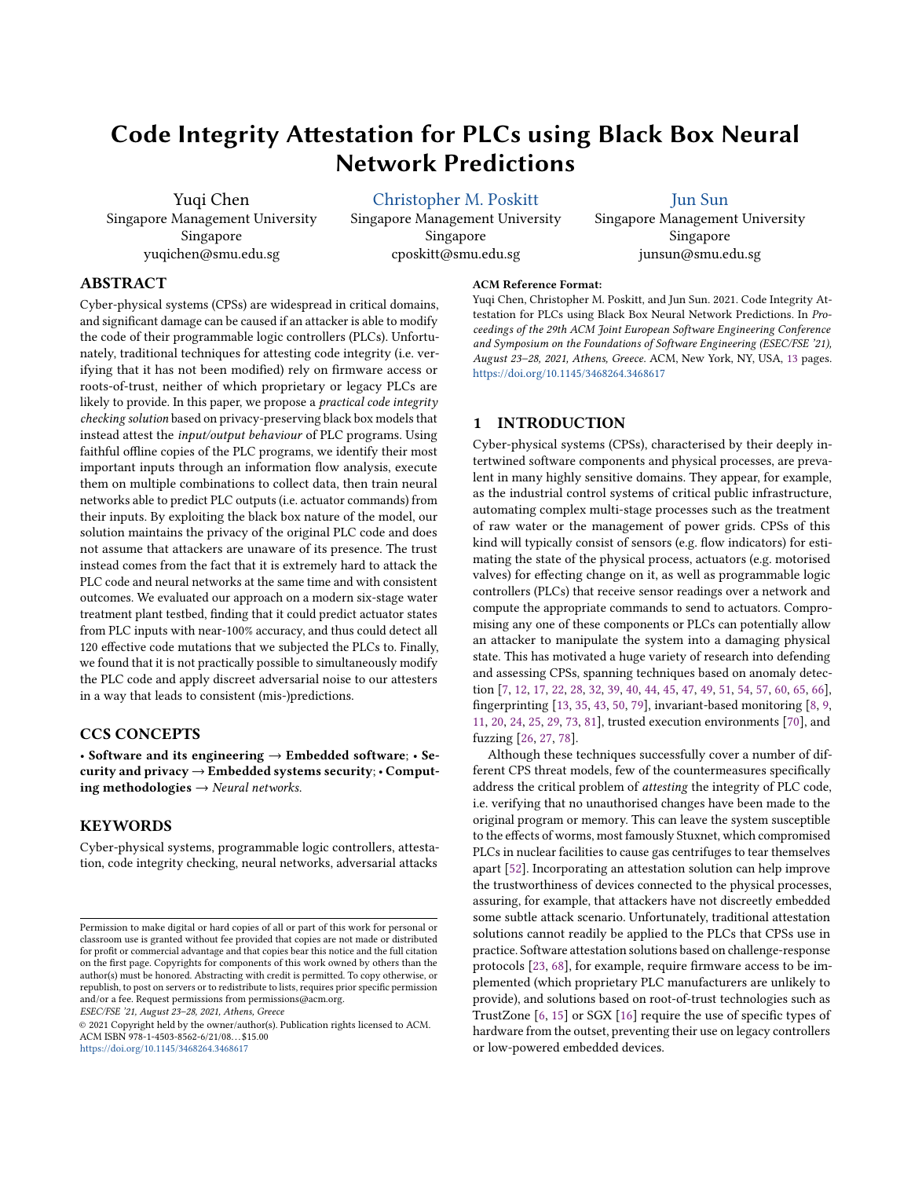# Code Integrity Attestation for PLCs using Black Box Neural Network Predictions

Yuqi Chen Singapore Management University Singapore yuqichen@smu.edu.sg

[Christopher M. Poskitt](https://orcid.org/0000-0002-9376-2471)

Singapore Management University Singapore cposkitt@smu.edu.sg

[Jun Sun](https://orcid.org/0000-0002-3545-1392)

Singapore Management University Singapore junsun@smu.edu.sg

# ABSTRACT

Cyber-physical systems (CPSs) are widespread in critical domains, and significant damage can be caused if an attacker is able to modify the code of their programmable logic controllers (PLCs). Unfortunately, traditional techniques for attesting code integrity (i.e. verifying that it has not been modified) rely on firmware access or roots-of-trust, neither of which proprietary or legacy PLCs are likely to provide. In this paper, we propose a practical code integrity checking solution based on privacy-preserving black box models that instead attest the input/output behaviour of PLC programs. Using faithful offline copies of the PLC programs, we identify their most important inputs through an information flow analysis, execute them on multiple combinations to collect data, then train neural networks able to predict PLC outputs (i.e. actuator commands) from their inputs. By exploiting the black box nature of the model, our solution maintains the privacy of the original PLC code and does not assume that attackers are unaware of its presence. The trust instead comes from the fact that it is extremely hard to attack the PLC code and neural networks at the same time and with consistent outcomes. We evaluated our approach on a modern six-stage water treatment plant testbed, finding that it could predict actuator states from PLC inputs with near-100% accuracy, and thus could detect all 120 effective code mutations that we subjected the PLCs to. Finally, we found that it is not practically possible to simultaneously modify the PLC code and apply discreet adversarial noise to our attesters in a way that leads to consistent (mis-)predictions.

# CCS CONCEPTS

• Software and its engineering  $\rightarrow$  Embedded software; • Security and privacy → Embedded systems security; • Computing methodologies  $\rightarrow$  Neural networks.

# **KEYWORDS**

Cyber-physical systems, programmable logic controllers, attestation, code integrity checking, neural networks, adversarial attacks

ESEC/FSE '21, August 23–28, 2021, Athens, Greece

<https://doi.org/10.1145/3468264.3468617>

# ACM Reference Format:

Yuqi Chen, Christopher M. Poskitt, and Jun Sun. 2021. Code Integrity Attestation for PLCs using Black Box Neural Network Predictions. In Proceedings of the 29th ACM Joint European Software Engineering Conference and Symposium on the Foundations of Software Engineering (ESEC/FSE '21), August 23–28, 2021, Athens, Greece. ACM, New York, NY, USA, [13](#page-12-0) pages. <https://doi.org/10.1145/3468264.3468617>

### <span id="page-0-0"></span>1 INTRODUCTION

Cyber-physical systems (CPSs), characterised by their deeply intertwined software components and physical processes, are prevalent in many highly sensitive domains. They appear, for example, as the industrial control systems of critical public infrastructure, automating complex multi-stage processes such as the treatment of raw water or the management of power grids. CPSs of this kind will typically consist of sensors (e.g. flow indicators) for estimating the state of the physical process, actuators (e.g. motorised valves) for effecting change on it, as well as programmable logic controllers (PLCs) that receive sensor readings over a network and compute the appropriate commands to send to actuators. Compromising any one of these components or PLCs can potentially allow an attacker to manipulate the system into a damaging physical state. This has motivated a huge variety of research into defending and assessing CPSs, spanning techniques based on anomaly detection [\[7,](#page-11-0) [12,](#page-11-1) [17,](#page-11-2) [22,](#page-11-3) [28,](#page-11-4) [32,](#page-11-5) [39,](#page-11-6) [40,](#page-11-7) [44,](#page-11-8) [45,](#page-12-1) [47,](#page-12-2) [49,](#page-12-3) [51,](#page-12-4) [54,](#page-12-5) [57,](#page-12-6) [60,](#page-12-7) [65,](#page-12-8) [66\]](#page-12-9), fingerprinting [\[13,](#page-11-9) [35,](#page-11-10) [43,](#page-11-11) [50,](#page-12-10) [79\]](#page-12-11), invariant-based monitoring [\[8,](#page-11-12) [9,](#page-11-13) [11,](#page-11-14) [20,](#page-11-15) [24,](#page-11-16) [25,](#page-11-17) [29,](#page-11-18) [73,](#page-12-12) [81\]](#page-12-13), trusted execution environments [\[70\]](#page-12-14), and fuzzing [\[26,](#page-11-19) [27,](#page-11-20) [78\]](#page-12-15).

Although these techniques successfully cover a number of different CPS threat models, few of the countermeasures specifically address the critical problem of attesting the integrity of PLC code, i.e. verifying that no unauthorised changes have been made to the original program or memory. This can leave the system susceptible to the effects of worms, most famously Stuxnet, which compromised PLCs in nuclear facilities to cause gas centrifuges to tear themselves apart [\[52\]](#page-12-16). Incorporating an attestation solution can help improve the trustworthiness of devices connected to the physical processes, assuring, for example, that attackers have not discreetly embedded some subtle attack scenario. Unfortunately, traditional attestation solutions cannot readily be applied to the PLCs that CPSs use in practice. Software attestation solutions based on challenge-response protocols [\[23,](#page-11-21) [68\]](#page-12-17), for example, require firmware access to be implemented (which proprietary PLC manufacturers are unlikely to provide), and solutions based on root-of-trust technologies such as TrustZone [\[6,](#page-10-0) [15\]](#page-11-22) or SGX [\[16\]](#page-11-23) require the use of specific types of hardware from the outset, preventing their use on legacy controllers or low-powered embedded devices.

Permission to make digital or hard copies of all or part of this work for personal or classroom use is granted without fee provided that copies are not made or distributed for profit or commercial advantage and that copies bear this notice and the full citation on the first page. Copyrights for components of this work owned by others than the author(s) must be honored. Abstracting with credit is permitted. To copy otherwise, or republish, to post on servers or to redistribute to lists, requires prior specific permission and/or a fee. Request permissions from permissions@acm.org.

<sup>©</sup> 2021 Copyright held by the owner/author(s). Publication rights licensed to ACM. ACM ISBN 978-1-4503-8562-6/21/08. . . \$15.00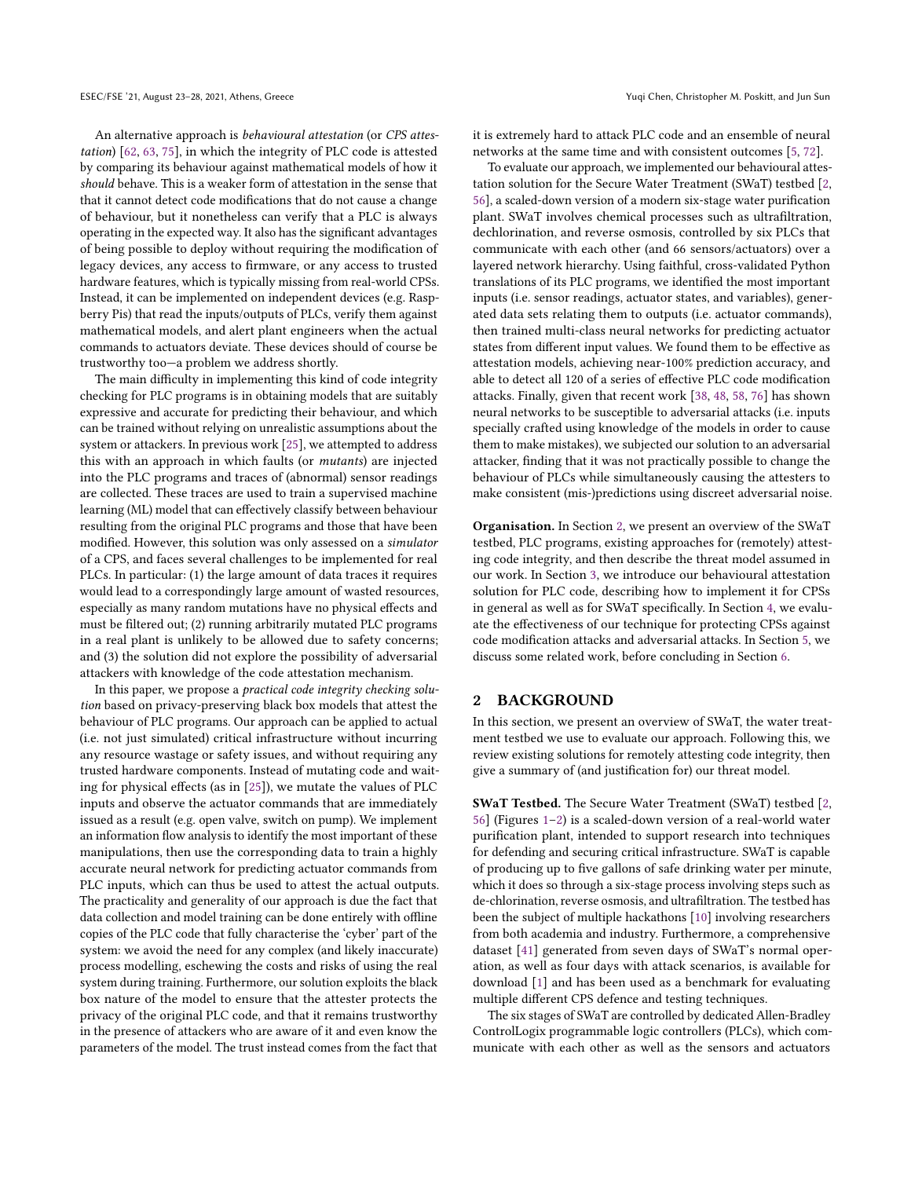An alternative approach is behavioural attestation (or CPS attestation) [\[62,](#page-12-18) [63,](#page-12-19) [75\]](#page-12-20), in which the integrity of PLC code is attested by comparing its behaviour against mathematical models of how it should behave. This is a weaker form of attestation in the sense that that it cannot detect code modifications that do not cause a change of behaviour, but it nonetheless can verify that a PLC is always operating in the expected way. It also has the significant advantages of being possible to deploy without requiring the modification of legacy devices, any access to firmware, or any access to trusted hardware features, which is typically missing from real-world CPSs. Instead, it can be implemented on independent devices (e.g. Raspberry Pis) that read the inputs/outputs of PLCs, verify them against mathematical models, and alert plant engineers when the actual commands to actuators deviate. These devices should of course be trustworthy too—a problem we address shortly.

The main difficulty in implementing this kind of code integrity checking for PLC programs is in obtaining models that are suitably expressive and accurate for predicting their behaviour, and which can be trained without relying on unrealistic assumptions about the system or attackers. In previous work [\[25\]](#page-11-17), we attempted to address this with an approach in which faults (or mutants) are injected into the PLC programs and traces of (abnormal) sensor readings are collected. These traces are used to train a supervised machine learning (ML) model that can effectively classify between behaviour resulting from the original PLC programs and those that have been modified. However, this solution was only assessed on a simulator of a CPS, and faces several challenges to be implemented for real PLCs. In particular: (1) the large amount of data traces it requires would lead to a correspondingly large amount of wasted resources, especially as many random mutations have no physical effects and must be filtered out; (2) running arbitrarily mutated PLC programs in a real plant is unlikely to be allowed due to safety concerns; and (3) the solution did not explore the possibility of adversarial attackers with knowledge of the code attestation mechanism.

In this paper, we propose a practical code integrity checking solution based on privacy-preserving black box models that attest the behaviour of PLC programs. Our approach can be applied to actual (i.e. not just simulated) critical infrastructure without incurring any resource wastage or safety issues, and without requiring any trusted hardware components. Instead of mutating code and waiting for physical effects (as in [\[25\]](#page-11-17)), we mutate the values of PLC inputs and observe the actuator commands that are immediately issued as a result (e.g. open valve, switch on pump). We implement an information flow analysis to identify the most important of these manipulations, then use the corresponding data to train a highly accurate neural network for predicting actuator commands from PLC inputs, which can thus be used to attest the actual outputs. The practicality and generality of our approach is due the fact that data collection and model training can be done entirely with offline copies of the PLC code that fully characterise the 'cyber' part of the system: we avoid the need for any complex (and likely inaccurate) process modelling, eschewing the costs and risks of using the real system during training. Furthermore, our solution exploits the black box nature of the model to ensure that the attester protects the privacy of the original PLC code, and that it remains trustworthy in the presence of attackers who are aware of it and even know the parameters of the model. The trust instead comes from the fact that

it is extremely hard to attack PLC code and an ensemble of neural networks at the same time and with consistent outcomes [\[5,](#page-10-1) [72\]](#page-12-21).

To evaluate our approach, we implemented our behavioural attestation solution for the Secure Water Treatment (SWaT) testbed [\[2,](#page-10-2) [56\]](#page-12-22), a scaled-down version of a modern six-stage water purification plant. SWaT involves chemical processes such as ultrafiltration, dechlorination, and reverse osmosis, controlled by six PLCs that communicate with each other (and 66 sensors/actuators) over a layered network hierarchy. Using faithful, cross-validated Python translations of its PLC programs, we identified the most important inputs (i.e. sensor readings, actuator states, and variables), generated data sets relating them to outputs (i.e. actuator commands), then trained multi-class neural networks for predicting actuator states from different input values. We found them to be effective as attestation models, achieving near-100% prediction accuracy, and able to detect all 120 of a series of effective PLC code modification attacks. Finally, given that recent work [\[38,](#page-11-24) [48,](#page-12-23) [58,](#page-12-24) [76\]](#page-12-25) has shown neural networks to be susceptible to adversarial attacks (i.e. inputs specially crafted using knowledge of the models in order to cause them to make mistakes), we subjected our solution to an adversarial attacker, finding that it was not practically possible to change the behaviour of PLCs while simultaneously causing the attesters to make consistent (mis-)predictions using discreet adversarial noise.

Organisation. In Section [2,](#page-1-0) we present an overview of the SWaT testbed, PLC programs, existing approaches for (remotely) attesting code integrity, and then describe the threat model assumed in our work. In Section [3,](#page-4-0) we introduce our behavioural attestation solution for PLC code, describing how to implement it for CPSs in general as well as for SWaT specifically. In Section [4,](#page-7-0) we evaluate the effectiveness of our technique for protecting CPSs against code modification attacks and adversarial attacks. In Section [5,](#page-9-0) we discuss some related work, before concluding in Section [6.](#page-10-3)

### <span id="page-1-0"></span>2 BACKGROUND

In this section, we present an overview of SWaT, the water treatment testbed we use to evaluate our approach. Following this, we review existing solutions for remotely attesting code integrity, then give a summary of (and justification for) our threat model.

SWaT Testbed. The Secure Water Treatment (SWaT) testbed [\[2,](#page-10-2) [56\]](#page-12-22) (Figures [1](#page-2-0)[–2\)](#page-2-1) is a scaled-down version of a real-world water purification plant, intended to support research into techniques for defending and securing critical infrastructure. SWaT is capable of producing up to five gallons of safe drinking water per minute, which it does so through a six-stage process involving steps such as de-chlorination, reverse osmosis, and ultrafiltration. The testbed has been the subject of multiple hackathons [\[10\]](#page-11-25) involving researchers from both academia and industry. Furthermore, a comprehensive dataset [\[41\]](#page-11-26) generated from seven days of SWaT's normal operation, as well as four days with attack scenarios, is available for download [\[1\]](#page-10-4) and has been used as a benchmark for evaluating multiple different CPS defence and testing techniques.

The six stages of SWaT are controlled by dedicated Allen-Bradley ControlLogix programmable logic controllers (PLCs), which communicate with each other as well as the sensors and actuators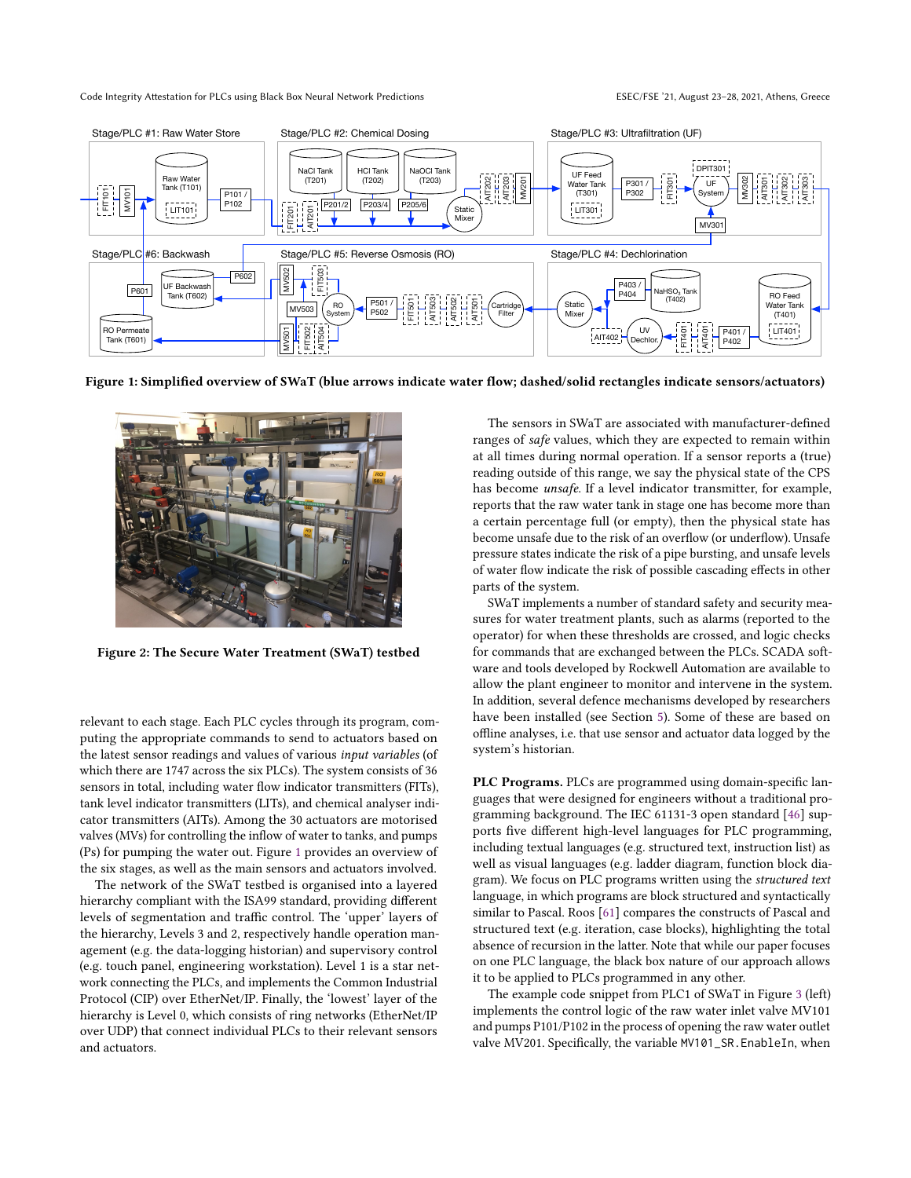<span id="page-2-0"></span>

Figure 1: Simplified overview of SWaT (blue arrows indicate water flow; dashed/solid rectangles indicate sensors/actuators)

<span id="page-2-1"></span>

Figure 2: The Secure Water Treatment (SWaT) testbed

relevant to each stage. Each PLC cycles through its program, computing the appropriate commands to send to actuators based on the latest sensor readings and values of various input variables (of which there are 1747 across the six PLCs). The system consists of 36 sensors in total, including water flow indicator transmitters (FITs), tank level indicator transmitters (LITs), and chemical analyser indicator transmitters (AITs). Among the 30 actuators are motorised valves (MVs) for controlling the inflow of water to tanks, and pumps (Ps) for pumping the water out. Figure [1](#page-2-0) provides an overview of the six stages, as well as the main sensors and actuators involved.

The network of the SWaT testbed is organised into a layered hierarchy compliant with the ISA99 standard, providing different levels of segmentation and traffic control. The 'upper' layers of the hierarchy, Levels 3 and 2, respectively handle operation management (e.g. the data-logging historian) and supervisory control (e.g. touch panel, engineering workstation). Level 1 is a star network connecting the PLCs, and implements the Common Industrial Protocol (CIP) over EtherNet/IP. Finally, the 'lowest' layer of the hierarchy is Level 0, which consists of ring networks (EtherNet/IP over UDP) that connect individual PLCs to their relevant sensors and actuators.

The sensors in SWaT are associated with manufacturer-defined ranges of safe values, which they are expected to remain within at all times during normal operation. If a sensor reports a (true) reading outside of this range, we say the physical state of the CPS has become unsafe. If a level indicator transmitter, for example, reports that the raw water tank in stage one has become more than a certain percentage full (or empty), then the physical state has become unsafe due to the risk of an overflow (or underflow). Unsafe pressure states indicate the risk of a pipe bursting, and unsafe levels of water flow indicate the risk of possible cascading effects in other parts of the system.

SWaT implements a number of standard safety and security measures for water treatment plants, such as alarms (reported to the operator) for when these thresholds are crossed, and logic checks for commands that are exchanged between the PLCs. SCADA software and tools developed by Rockwell Automation are available to allow the plant engineer to monitor and intervene in the system. In addition, several defence mechanisms developed by researchers have been installed (see Section [5\)](#page-9-0). Some of these are based on offline analyses, i.e. that use sensor and actuator data logged by the system's historian.

PLC Programs. PLCs are programmed using domain-specific languages that were designed for engineers without a traditional programming background. The IEC 61131-3 open standard [\[46\]](#page-12-26) supports five different high-level languages for PLC programming, including textual languages (e.g. structured text, instruction list) as well as visual languages (e.g. ladder diagram, function block diagram). We focus on PLC programs written using the structured text language, in which programs are block structured and syntactically similar to Pascal. Roos [\[61\]](#page-12-27) compares the constructs of Pascal and structured text (e.g. iteration, case blocks), highlighting the total absence of recursion in the latter. Note that while our paper focuses on one PLC language, the black box nature of our approach allows it to be applied to PLCs programmed in any other.

The example code snippet from PLC1 of SWaT in Figure [3](#page-3-0) (left) implements the control logic of the raw water inlet valve MV101 and pumps P101/P102 in the process of opening the raw water outlet valve MV201. Specifically, the variable MV101\_SR.EnableIn, when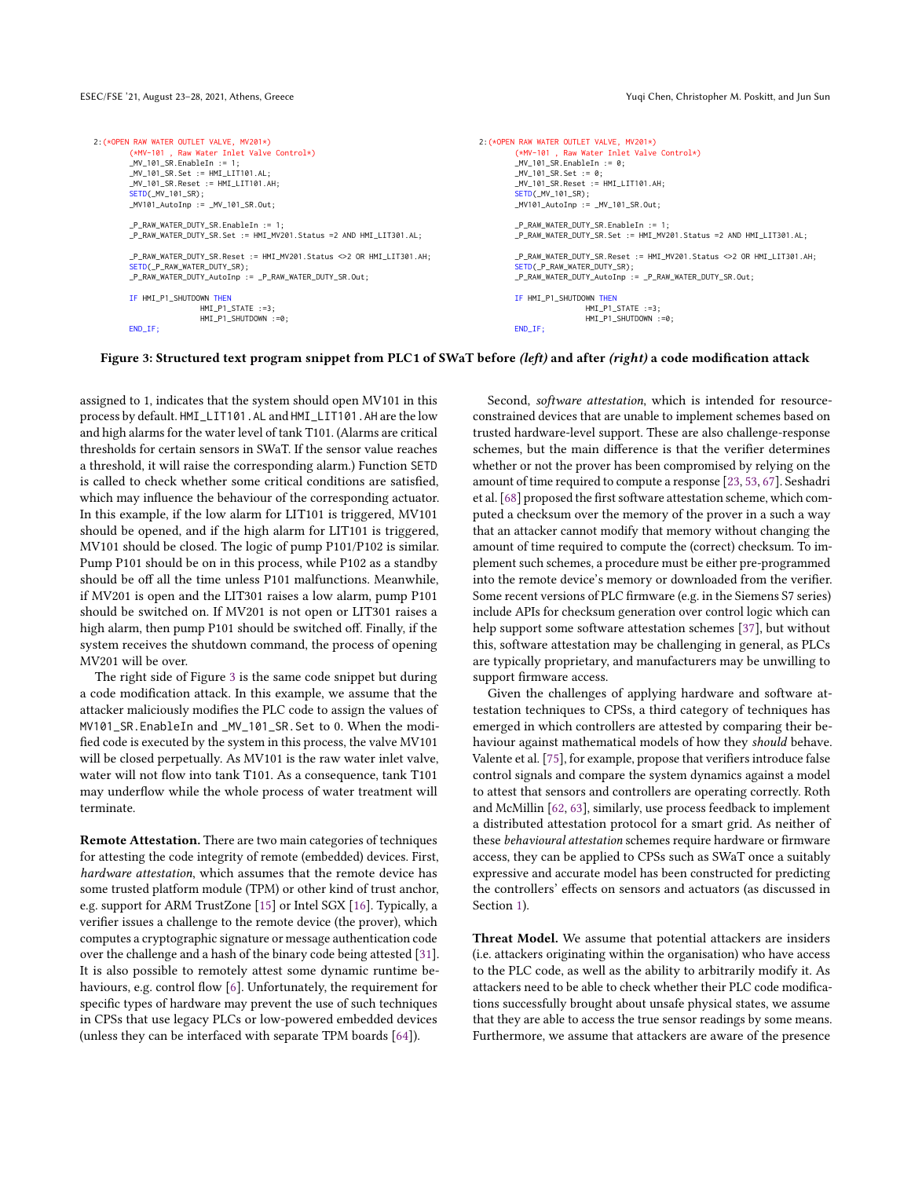```
2:(*OPEN RAW WATER OUTLET VALVE, MV201*)
 (*MV-101 , Raw Water Inlet Valve Control*)
MV 101 SR.EnableIn := 1:
_MV_101_SR.Set := HMI_LLT101.AL;
_MV_101_SR.Reset := HMI_LIT101.AH;
 <mark>SETD(_MV_101_SR);</mark><br>_MV101_AutoInp := _MV_101_SR.Out;
_P_RAW_WATER_DUTY_SR.EnableIn := 1;
_P_RAW_WATER_DUTY_SR.Set := HMI_MV201.Status =2 AND HMI_LIT301.AL;
_P_RAW_WATER_DUTY_SR.Reset := HMI_MV201.Status <>2 OR HMI_LIT301.AH;
SETD(_P_RAW_WATER_DUTY_SR);
_P_RAW_WATER_DUTY_AutoInp := _P_RAW_WATER_DUTY_SR.Out;
IF HMI_P1_SHUTDOWN THEN
                 HMI_P1_STATE : =3;
                 HMT P1 SHUTDOWN :=0:
END_IF;
                                                                                     2:(*OPEN RAW WATER OUTLET VALVE, MV201*)
                                                                                              (*MV-101 , Raw Water Inlet Valve Control*)
                                                                                              MV 101 SR.EnableIn := 0:
                                                                                              _MV_101_SR.Set := 0;
                                                                                               _MV_101_SR.Reset := HMI_LIT101.AH;
                                                                                               <mark>SETD(_MV_101_SR);</mark><br>_MV101_AutoInp := _MV_101_SR.Out;
                                                                                               _P_RAW_WATER_DUTY_SR.EnableIn := 1;
                                                                                              _P_RAW_WATER_DUTY_SR.Set := HMI_MV201.Status =2 AND HMI_LIT301.AL;
                                                                                              _P_RAW_WATER_DUTY_SR.Reset := HMI_MV201.Status <>2 OR HMI_LIT301.AH;
                                                                                              SETD(_P_RAW_WATER_DUTY_SR);
                                                                                              _P_RAW_WATER_DUTY_AutoInp := _P_RAW_WATER_DUTY_SR.Out;
                                                                                              IF HMI_P1_SHUTDOWN THEN
                                                                                                                HMT_P1_STATE :=3;
                                                                                                                HMT P1 SHUTDOWN :=0;
                                                                                              END_IF;
```
#### Figure 3: Structured text program snippet from PLC1 of SWaT before (left) and after (right) a code modification attack

assigned to 1, indicates that the system should open MV101 in this process by default. HMI\_LIT101.AL and HMI\_LIT101.AH are the low and high alarms for the water level of tank T101. (Alarms are critical thresholds for certain sensors in SWaT. If the sensor value reaches a threshold, it will raise the corresponding alarm.) Function SETD is called to check whether some critical conditions are satisfied, which may influence the behaviour of the corresponding actuator. In this example, if the low alarm for LIT101 is triggered, MV101 should be opened, and if the high alarm for LIT101 is triggered, MV101 should be closed. The logic of pump P101/P102 is similar. Pump P101 should be on in this process, while P102 as a standby should be off all the time unless P101 malfunctions. Meanwhile, if MV201 is open and the LIT301 raises a low alarm, pump P101 should be switched on. If MV201 is not open or LIT301 raises a high alarm, then pump P101 should be switched off. Finally, if the system receives the shutdown command, the process of opening MV201 will be over.

The right side of Figure [3](#page-3-0) is the same code snippet but during a code modification attack. In this example, we assume that the attacker maliciously modifies the PLC code to assign the values of MV101\_SR.EnableIn and \_MV\_101\_SR.Set to 0. When the modified code is executed by the system in this process, the valve MV101 will be closed perpetually. As MV101 is the raw water inlet valve, water will not flow into tank T101. As a consequence, tank T101 may underflow while the whole process of water treatment will terminate.

Remote Attestation. There are two main categories of techniques for attesting the code integrity of remote (embedded) devices. First, hardware attestation, which assumes that the remote device has some trusted platform module (TPM) or other kind of trust anchor, e.g. support for ARM TrustZone [\[15\]](#page-11-22) or Intel SGX [\[16\]](#page-11-23). Typically, a verifier issues a challenge to the remote device (the prover), which computes a cryptographic signature or message authentication code over the challenge and a hash of the binary code being attested [\[31\]](#page-11-27). It is also possible to remotely attest some dynamic runtime behaviours, e.g. control flow [\[6\]](#page-10-0). Unfortunately, the requirement for specific types of hardware may prevent the use of such techniques in CPSs that use legacy PLCs or low-powered embedded devices (unless they can be interfaced with separate TPM boards [\[64\]](#page-12-28)).

Second, software attestation, which is intended for resourceconstrained devices that are unable to implement schemes based on trusted hardware-level support. These are also challenge-response schemes, but the main difference is that the verifier determines whether or not the prover has been compromised by relying on the amount of time required to compute a response [\[23,](#page-11-21) [53,](#page-12-29) [67\]](#page-12-30). Seshadri et al. [\[68\]](#page-12-17) proposed the first software attestation scheme, which computed a checksum over the memory of the prover in a such a way that an attacker cannot modify that memory without changing the amount of time required to compute the (correct) checksum. To implement such schemes, a procedure must be either pre-programmed into the remote device's memory or downloaded from the verifier. Some recent versions of PLC firmware (e.g. in the Siemens S7 series) include APIs for checksum generation over control logic which can help support some software attestation schemes [\[37\]](#page-11-28), but without this, software attestation may be challenging in general, as PLCs are typically proprietary, and manufacturers may be unwilling to support firmware access.

Given the challenges of applying hardware and software attestation techniques to CPSs, a third category of techniques has emerged in which controllers are attested by comparing their behaviour against mathematical models of how they should behave. Valente et al. [\[75\]](#page-12-20), for example, propose that verifiers introduce false control signals and compare the system dynamics against a model to attest that sensors and controllers are operating correctly. Roth and McMillin [\[62,](#page-12-18) [63\]](#page-12-19), similarly, use process feedback to implement a distributed attestation protocol for a smart grid. As neither of these behavioural attestation schemes require hardware or firmware access, they can be applied to CPSs such as SWaT once a suitably expressive and accurate model has been constructed for predicting the controllers' effects on sensors and actuators (as discussed in Section [1\)](#page-0-0).

Threat Model. We assume that potential attackers are insiders (i.e. attackers originating within the organisation) who have access to the PLC code, as well as the ability to arbitrarily modify it. As attackers need to be able to check whether their PLC code modifications successfully brought about unsafe physical states, we assume that they are able to access the true sensor readings by some means. Furthermore, we assume that attackers are aware of the presence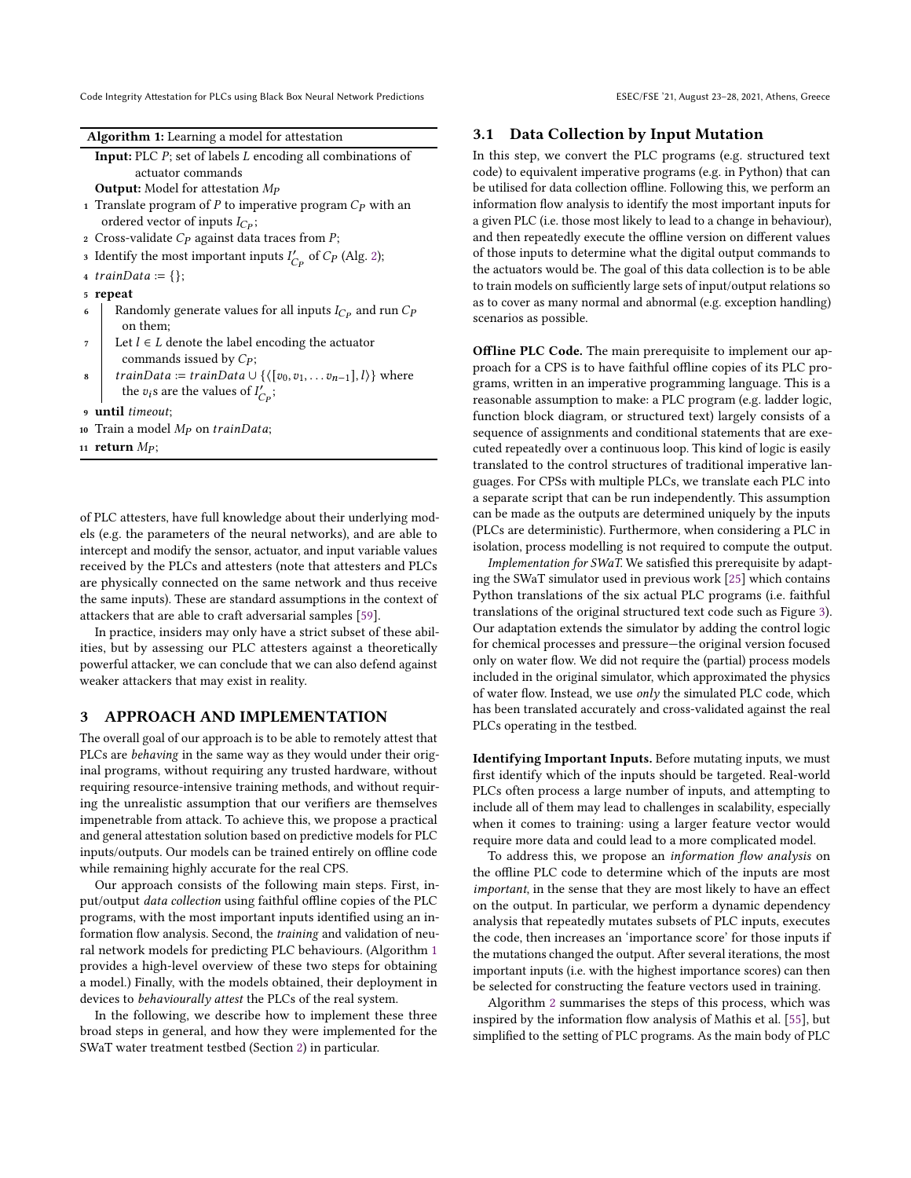| Algorithm 1: Learning a model for attestation |  |  |  |
|-----------------------------------------------|--|--|--|
|-----------------------------------------------|--|--|--|

<span id="page-4-1"></span>Input: PLC  $P$ ; set of labels  $L$  encoding all combinations of actuator commands

**Output:** Model for attestation  $Mp$ 

- 1 Translate program of  $P$  to imperative program  $C_P$  with an ordered vector of inputs  $I_{C_P}$ ;
- 2 Cross-validate  $C_P$  against data traces from  $P$ ;
- 3 Identify the most important inputs  $I'_{C_P}$  of  $C_P$  (Alg. [2\)](#page-5-0);
- $4 trainData := \{\};$
- <sup>5</sup> repeat
- 6 Randomly generate values for all inputs  $I_{C_P}$  and run  $C_P$ on them;
- 7 Let  $l \in L$  denote the label encoding the actuator commands issued by  $C_P$ ;
- *trainData* := *trainData*  $\cup$  { $\langle [v_0, v_1, \ldots v_{n-1}], l \rangle$ } where the  $v_i$ s are the values of  $I'_{C_P}$ ;

<sup>9</sup> until timeout;

10 Train a model  $Mp$  on trainData;

11 return  $Mp$ ;

of PLC attesters, have full knowledge about their underlying models (e.g. the parameters of the neural networks), and are able to intercept and modify the sensor, actuator, and input variable values received by the PLCs and attesters (note that attesters and PLCs are physically connected on the same network and thus receive the same inputs). These are standard assumptions in the context of attackers that are able to craft adversarial samples [\[59\]](#page-12-31).

In practice, insiders may only have a strict subset of these abilities, but by assessing our PLC attesters against a theoretically powerful attacker, we can conclude that we can also defend against weaker attackers that may exist in reality.

# <span id="page-4-0"></span>3 APPROACH AND IMPLEMENTATION

The overall goal of our approach is to be able to remotely attest that PLCs are behaving in the same way as they would under their original programs, without requiring any trusted hardware, without requiring resource-intensive training methods, and without requiring the unrealistic assumption that our verifiers are themselves impenetrable from attack. To achieve this, we propose a practical and general attestation solution based on predictive models for PLC inputs/outputs. Our models can be trained entirely on offline code while remaining highly accurate for the real CPS.

Our approach consists of the following main steps. First, input/output data collection using faithful offline copies of the PLC programs, with the most important inputs identified using an information flow analysis. Second, the training and validation of neural network models for predicting PLC behaviours. (Algorithm [1](#page-4-1) provides a high-level overview of these two steps for obtaining a model.) Finally, with the models obtained, their deployment in devices to behaviourally attest the PLCs of the real system.

In the following, we describe how to implement these three broad steps in general, and how they were implemented for the SWaT water treatment testbed (Section [2\)](#page-1-0) in particular.

## <span id="page-4-2"></span>3.1 Data Collection by Input Mutation

In this step, we convert the PLC programs (e.g. structured text code) to equivalent imperative programs (e.g. in Python) that can be utilised for data collection offline. Following this, we perform an information flow analysis to identify the most important inputs for a given PLC (i.e. those most likely to lead to a change in behaviour), and then repeatedly execute the offline version on different values of those inputs to determine what the digital output commands to the actuators would be. The goal of this data collection is to be able to train models on sufficiently large sets of input/output relations so as to cover as many normal and abnormal (e.g. exception handling) scenarios as possible.

Offline PLC Code. The main prerequisite to implement our approach for a CPS is to have faithful offline copies of its PLC programs, written in an imperative programming language. This is a reasonable assumption to make: a PLC program (e.g. ladder logic, function block diagram, or structured text) largely consists of a sequence of assignments and conditional statements that are executed repeatedly over a continuous loop. This kind of logic is easily translated to the control structures of traditional imperative languages. For CPSs with multiple PLCs, we translate each PLC into a separate script that can be run independently. This assumption can be made as the outputs are determined uniquely by the inputs (PLCs are deterministic). Furthermore, when considering a PLC in isolation, process modelling is not required to compute the output.

Implementation for SWaT. We satisfied this prerequisite by adapting the SWaT simulator used in previous work [\[25\]](#page-11-17) which contains Python translations of the six actual PLC programs (i.e. faithful translations of the original structured text code such as Figure [3\)](#page-3-0). Our adaptation extends the simulator by adding the control logic for chemical processes and pressure—the original version focused only on water flow. We did not require the (partial) process models included in the original simulator, which approximated the physics of water flow. Instead, we use only the simulated PLC code, which has been translated accurately and cross-validated against the real PLCs operating in the testbed.

Identifying Important Inputs. Before mutating inputs, we must first identify which of the inputs should be targeted. Real-world PLCs often process a large number of inputs, and attempting to include all of them may lead to challenges in scalability, especially when it comes to training: using a larger feature vector would require more data and could lead to a more complicated model.

To address this, we propose an information flow analysis on the offline PLC code to determine which of the inputs are most important, in the sense that they are most likely to have an effect on the output. In particular, we perform a dynamic dependency analysis that repeatedly mutates subsets of PLC inputs, executes the code, then increases an 'importance score' for those inputs if the mutations changed the output. After several iterations, the most important inputs (i.e. with the highest importance scores) can then be selected for constructing the feature vectors used in training.

Algorithm [2](#page-5-0) summarises the steps of this process, which was inspired by the information flow analysis of Mathis et al. [\[55\]](#page-12-32), but simplified to the setting of PLC programs. As the main body of PLC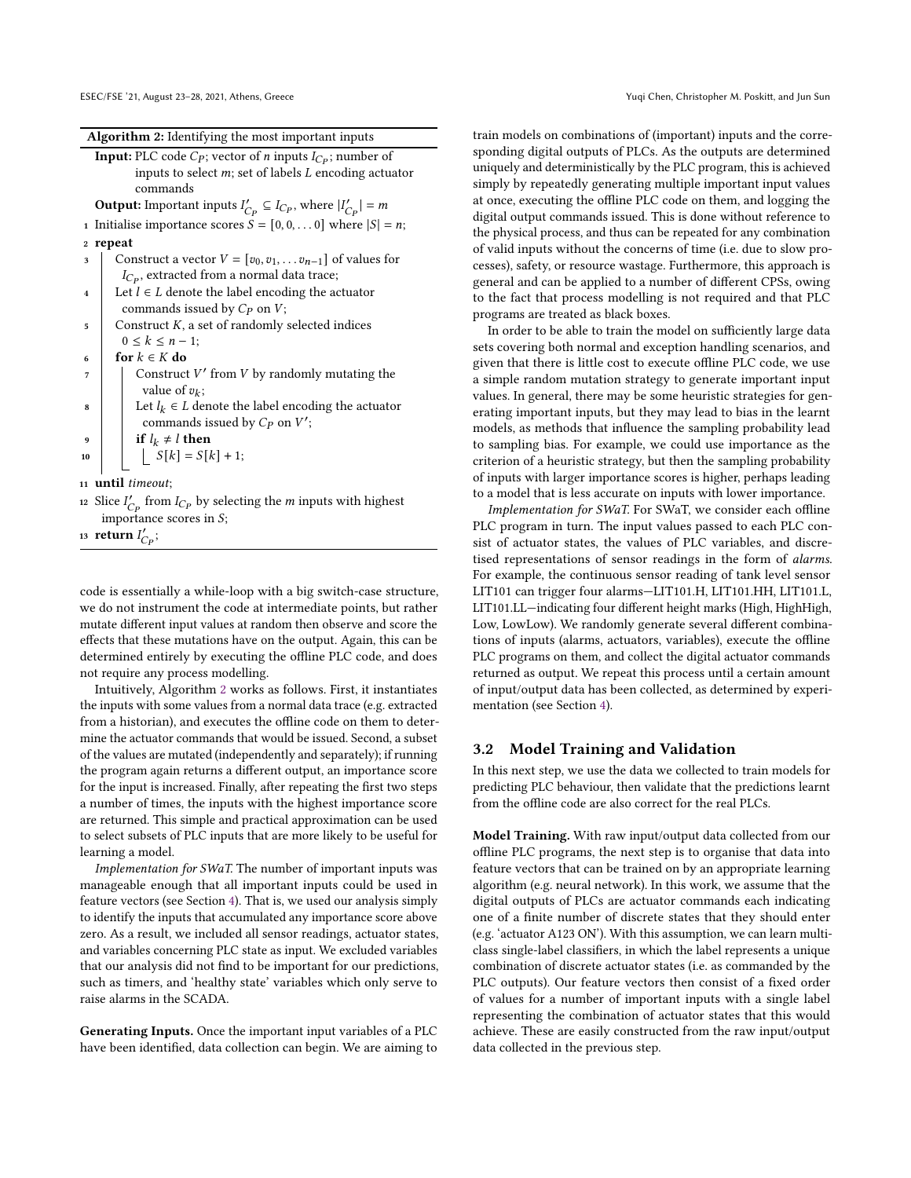Algorithm 2: Identifying the most important inputs

<span id="page-5-0"></span>

| <b>Input:</b> PLC code $C_P$ ; vector of <i>n</i> inputs $I_{C_P}$ ; number of |
|--------------------------------------------------------------------------------|
| inputs to select $m$ ; set of labels $L$ encoding actuator                     |
| commands                                                                       |

**Output:** Important inputs  $I'_{C_P} \subseteq I_{C_P}$ , where  $|I'_{C_P}| = m$ 

- 1 Initialise importance scores  $S = [0, 0, \dots 0]$  where  $|S| = n$ ; <sup>2</sup> repeat
- 3 Construct a vector  $V = [v_0, v_1, \dots v_{n-1}]$  of values for  $I_{C_P}$ , extracted from a normal data trace;
- 4 Let  $l \in L$  denote the label encoding the actuator commands issued by  $C_P$  on  $V$ ;
- $\frac{1}{5}$  Construct K, a set of randomly selected indices  $0 \le k \le n - 1;$
- 6 for  $k \in K$  do
- $\begin{array}{c|c} \hline \end{array}$  Construct V' from V by randomly mutating the value of  $v_k$ ;
- 8  $\vert$  Let  $l_k \in L$  denote the label encoding the actuator commands issued by  $C_P$  on  $V'$ ;

9  
10  

$$
\begin{array}{c}\n\mathbf{if } l_k \neq l \text{ then } \\ \n\mathbf{If } |k| = S[k] + 1;\n\end{array}
$$

<sup>11</sup> until timeout;

12 Slice  $I'_{C_P}$  from  $I_{C_P}$  by selecting the *m* inputs with highest importance scores in  $S$ ;

13 return  $I'_{C_P}$ ;

code is essentially a while-loop with a big switch-case structure, we do not instrument the code at intermediate points, but rather mutate different input values at random then observe and score the effects that these mutations have on the output. Again, this can be determined entirely by executing the offline PLC code, and does not require any process modelling.

Intuitively, Algorithm [2](#page-5-0) works as follows. First, it instantiates the inputs with some values from a normal data trace (e.g. extracted from a historian), and executes the offline code on them to determine the actuator commands that would be issued. Second, a subset of the values are mutated (independently and separately); if running the program again returns a different output, an importance score for the input is increased. Finally, after repeating the first two steps a number of times, the inputs with the highest importance score are returned. This simple and practical approximation can be used to select subsets of PLC inputs that are more likely to be useful for learning a model.

Implementation for SWaT. The number of important inputs was manageable enough that all important inputs could be used in feature vectors (see Section [4\)](#page-7-0). That is, we used our analysis simply to identify the inputs that accumulated any importance score above zero. As a result, we included all sensor readings, actuator states, and variables concerning PLC state as input. We excluded variables that our analysis did not find to be important for our predictions, such as timers, and 'healthy state' variables which only serve to raise alarms in the SCADA.

Generating Inputs. Once the important input variables of a PLC have been identified, data collection can begin. We are aiming to train models on combinations of (important) inputs and the corresponding digital outputs of PLCs. As the outputs are determined uniquely and deterministically by the PLC program, this is achieved simply by repeatedly generating multiple important input values at once, executing the offline PLC code on them, and logging the digital output commands issued. This is done without reference to the physical process, and thus can be repeated for any combination of valid inputs without the concerns of time (i.e. due to slow processes), safety, or resource wastage. Furthermore, this approach is general and can be applied to a number of different CPSs, owing to the fact that process modelling is not required and that PLC programs are treated as black boxes.

In order to be able to train the model on sufficiently large data sets covering both normal and exception handling scenarios, and given that there is little cost to execute offline PLC code, we use a simple random mutation strategy to generate important input values. In general, there may be some heuristic strategies for generating important inputs, but they may lead to bias in the learnt models, as methods that influence the sampling probability lead to sampling bias. For example, we could use importance as the criterion of a heuristic strategy, but then the sampling probability of inputs with larger importance scores is higher, perhaps leading to a model that is less accurate on inputs with lower importance.

Implementation for SWaT. For SWaT, we consider each offline PLC program in turn. The input values passed to each PLC consist of actuator states, the values of PLC variables, and discretised representations of sensor readings in the form of alarms. For example, the continuous sensor reading of tank level sensor LIT101 can trigger four alarms—LIT101.H, LIT101.HH, LIT101.L, LIT101.LL—indicating four different height marks (High, HighHigh, Low, LowLow). We randomly generate several different combinations of inputs (alarms, actuators, variables), execute the offline PLC programs on them, and collect the digital actuator commands returned as output. We repeat this process until a certain amount of input/output data has been collected, as determined by experimentation (see Section [4\)](#page-7-0).

# 3.2 Model Training and Validation

In this next step, we use the data we collected to train models for predicting PLC behaviour, then validate that the predictions learnt from the offline code are also correct for the real PLCs.

Model Training. With raw input/output data collected from our offline PLC programs, the next step is to organise that data into feature vectors that can be trained on by an appropriate learning algorithm (e.g. neural network). In this work, we assume that the digital outputs of PLCs are actuator commands each indicating one of a finite number of discrete states that they should enter (e.g. 'actuator A123 ON'). With this assumption, we can learn multiclass single-label classifiers, in which the label represents a unique combination of discrete actuator states (i.e. as commanded by the PLC outputs). Our feature vectors then consist of a fixed order of values for a number of important inputs with a single label representing the combination of actuator states that this would achieve. These are easily constructed from the raw input/output data collected in the previous step.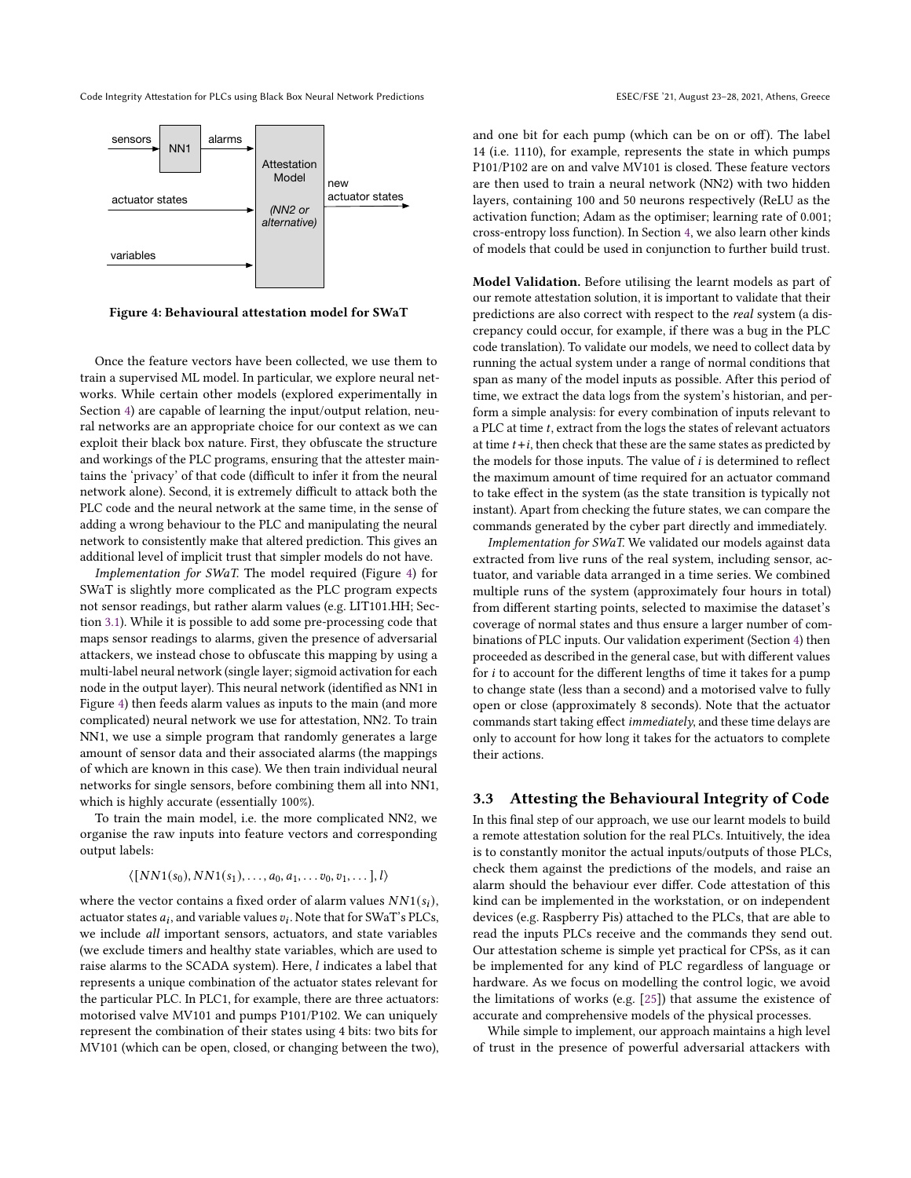<span id="page-6-0"></span>

Figure 4: Behavioural attestation model for SWaT

Once the feature vectors have been collected, we use them to train a supervised ML model. In particular, we explore neural networks. While certain other models (explored experimentally in Section [4\)](#page-7-0) are capable of learning the input/output relation, neural networks are an appropriate choice for our context as we can exploit their black box nature. First, they obfuscate the structure and workings of the PLC programs, ensuring that the attester maintains the 'privacy' of that code (difficult to infer it from the neural network alone). Second, it is extremely difficult to attack both the PLC code and the neural network at the same time, in the sense of adding a wrong behaviour to the PLC and manipulating the neural network to consistently make that altered prediction. This gives an additional level of implicit trust that simpler models do not have.

Implementation for SWaT. The model required (Figure [4\)](#page-6-0) for SWaT is slightly more complicated as the PLC program expects not sensor readings, but rather alarm values (e.g. LIT101.HH; Section [3.1\)](#page-4-2). While it is possible to add some pre-processing code that maps sensor readings to alarms, given the presence of adversarial attackers, we instead chose to obfuscate this mapping by using a multi-label neural network (single layer; sigmoid activation for each node in the output layer). This neural network (identified as NN1 in Figure [4\)](#page-6-0) then feeds alarm values as inputs to the main (and more complicated) neural network we use for attestation, NN2. To train NN1, we use a simple program that randomly generates a large amount of sensor data and their associated alarms (the mappings of which are known in this case). We then train individual neural networks for single sensors, before combining them all into NN1, which is highly accurate (essentially 100%).

To train the main model, i.e. the more complicated NN2, we organise the raw inputs into feature vectors and corresponding output labels:

$$
\langle \big[NN1(s_0), NN1(s_1), \ldots, a_0, a_1, \ldots v_0, v_1, \ldots \big], l \rangle
$$

where the vector contains a fixed order of alarm values  $NN1(s_i)$ , actuator states  $a_i$ , and variable values  $v_i$ . Note that for SWaT's PLCs, we include all important sensors, actuators, and state variables (we exclude timers and healthy state variables, which are used to raise alarms to the SCADA system). Here, *l* indicates a label that represents a unique combination of the actuator states relevant for the particular PLC. In PLC1, for example, there are three actuators: motorised valve MV101 and pumps P101/P102. We can uniquely represent the combination of their states using 4 bits: two bits for MV101 (which can be open, closed, or changing between the two),

and one bit for each pump (which can be on or off). The label 14 (i.e. 1110), for example, represents the state in which pumps P101/P102 are on and valve MV101 is closed. These feature vectors are then used to train a neural network (NN2) with two hidden layers, containing 100 and 50 neurons respectively (ReLU as the activation function; Adam as the optimiser; learning rate of 0.001; cross-entropy loss function). In Section [4,](#page-7-0) we also learn other kinds of models that could be used in conjunction to further build trust.

Model Validation. Before utilising the learnt models as part of our remote attestation solution, it is important to validate that their predictions are also correct with respect to the real system (a discrepancy could occur, for example, if there was a bug in the PLC code translation). To validate our models, we need to collect data by running the actual system under a range of normal conditions that span as many of the model inputs as possible. After this period of time, we extract the data logs from the system's historian, and perform a simple analysis: for every combination of inputs relevant to a PLC at time  $t$ , extract from the logs the states of relevant actuators at time  $t + i$ , then check that these are the same states as predicted by the models for those inputs. The value of  $i$  is determined to reflect the maximum amount of time required for an actuator command to take effect in the system (as the state transition is typically not instant). Apart from checking the future states, we can compare the commands generated by the cyber part directly and immediately.

Implementation for SWaT. We validated our models against data extracted from live runs of the real system, including sensor, actuator, and variable data arranged in a time series. We combined multiple runs of the system (approximately four hours in total) from different starting points, selected to maximise the dataset's coverage of normal states and thus ensure a larger number of combinations of PLC inputs. Our validation experiment (Section [4\)](#page-7-0) then proceeded as described in the general case, but with different values for  $i$  to account for the different lengths of time it takes for a pump to change state (less than a second) and a motorised valve to fully open or close (approximately 8 seconds). Note that the actuator commands start taking effect immediately, and these time delays are only to account for how long it takes for the actuators to complete their actions.

# 3.3 Attesting the Behavioural Integrity of Code

In this final step of our approach, we use our learnt models to build a remote attestation solution for the real PLCs. Intuitively, the idea is to constantly monitor the actual inputs/outputs of those PLCs, check them against the predictions of the models, and raise an alarm should the behaviour ever differ. Code attestation of this kind can be implemented in the workstation, or on independent devices (e.g. Raspberry Pis) attached to the PLCs, that are able to read the inputs PLCs receive and the commands they send out. Our attestation scheme is simple yet practical for CPSs, as it can be implemented for any kind of PLC regardless of language or hardware. As we focus on modelling the control logic, we avoid the limitations of works (e.g. [\[25\]](#page-11-17)) that assume the existence of accurate and comprehensive models of the physical processes.

While simple to implement, our approach maintains a high level of trust in the presence of powerful adversarial attackers with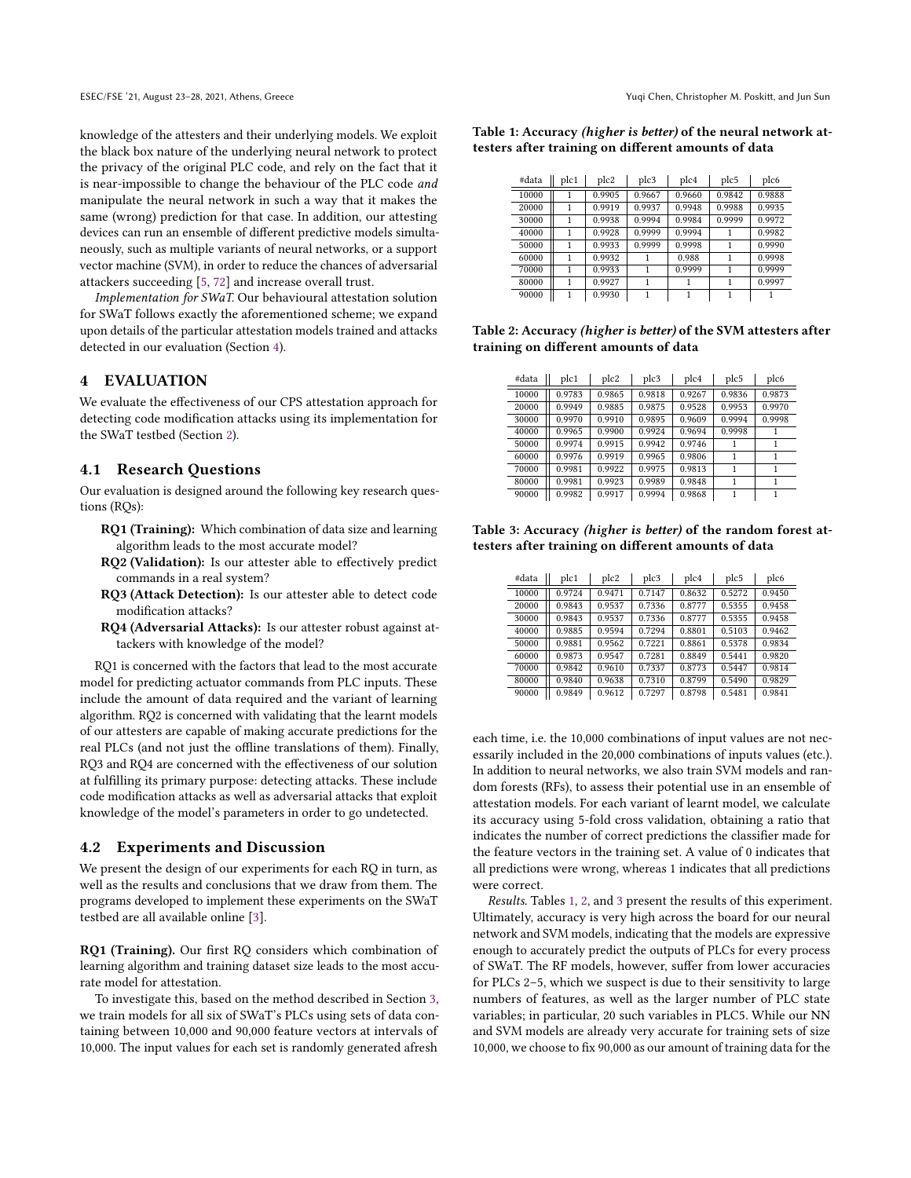knowledge of the attesters and their underlying models. We exploit the black box nature of the underlying neural network to protect the privacy of the original PLC code, and rely on the fact that it is near-impossible to change the behaviour of the PLC code and manipulate the neural network in such a way that it makes the same (wrong) prediction for that case. In addition, our attesting devices can run an ensemble of different predictive models simultaneously, such as multiple variants of neural networks, or a support vector machine (SVM), in order to reduce the chances of adversarial attackers succeeding [\[5,](#page-10-1) [72\]](#page-12-21) and increase overall trust.

Implementation for SWaT. Our behavioural attestation solution for SWaT follows exactly the aforementioned scheme; we expand upon details of the particular attestation models trained and attacks detected in our evaluation (Section [4\)](#page-7-0).

## <span id="page-7-0"></span>4 EVALUATION

We evaluate the effectiveness of our CPS attestation approach for detecting code modification attacks using its implementation for the SWaT testbed (Section [2\)](#page-1-0).

### 4.1 Research Questions

Our evaluation is designed around the following key research questions (RQs):

- RQ1 (Training): Which combination of data size and learning algorithm leads to the most accurate model?
- RQ2 (Validation): Is our attester able to effectively predict commands in a real system?
- RQ3 (Attack Detection): Is our attester able to detect code modification attacks?
- RQ4 (Adversarial Attacks): Is our attester robust against attackers with knowledge of the model?

RQ1 is concerned with the factors that lead to the most accurate model for predicting actuator commands from PLC inputs. These include the amount of data required and the variant of learning algorithm. RQ2 is concerned with validating that the learnt models of our attesters are capable of making accurate predictions for the real PLCs (and not just the offline translations of them). Finally, RQ3 and RQ4 are concerned with the effectiveness of our solution at fulfilling its primary purpose: detecting attacks. These include code modification attacks as well as adversarial attacks that exploit knowledge of the model's parameters in order to go undetected.

#### 4.2 Experiments and Discussion

We present the design of our experiments for each RQ in turn, as well as the results and conclusions that we draw from them. The programs developed to implement these experiments on the SWaT testbed are all available online [\[3\]](#page-10-5).

RQ1 (Training). Our first RQ considers which combination of learning algorithm and training dataset size leads to the most accurate model for attestation.

To investigate this, based on the method described in Section [3,](#page-4-0) we train models for all six of SWaT's PLCs using sets of data containing between 10,000 and 90,000 feature vectors at intervals of 10,000. The input values for each set is randomly generated afresh

<span id="page-7-1"></span>Table 1: Accuracy (higher is better) of the neural network attesters after training on different amounts of data

| #data | plc1 | plc2   | plc3   | plc4   | plc5   | plc6   |
|-------|------|--------|--------|--------|--------|--------|
| 10000 |      | 0.9905 | 0.9667 | 0.9660 | 0.9842 | 0.9888 |
| 20000 | 1    | 0.9919 | 0.9937 | 0.9948 | 0.9988 | 0.9935 |
| 30000 | 1    | 0.9938 | 0.9994 | 0.9984 | 0.9999 | 0.9972 |
| 40000 |      | 0.9928 | 0.9999 | 0.9994 |        | 0.9982 |
| 50000 |      | 0.9933 | 0.9999 | 0.9998 | 1      | 0.9990 |
| 60000 | 1    | 0.9932 |        | 0.988  | 1      | 0.9998 |
| 70000 |      | 0.9933 |        | 0.9999 | 1      | 0.9999 |
| 80000 |      | 0.9927 |        |        | 1      | 0.9997 |
| 90000 | 1    | 0.9930 |        |        | 1      |        |

<span id="page-7-2"></span>Table 2: Accuracy (higher is better) of the SVM attesters after training on different amounts of data

| #data | plc1   | plc2   | plc3   | plc4   | plc5   | plc6   |
|-------|--------|--------|--------|--------|--------|--------|
| 10000 | 0.9783 | 0.9865 | 0.9818 | 0.9267 | 0.9836 | 0.9873 |
| 20000 | 0.9949 | 0.9885 | 0.9875 | 0.9528 | 0.9953 | 0.9970 |
| 30000 | 0.9970 | 0.9910 | 0.9895 | 0.9609 | 0.9994 | 0.9998 |
| 40000 | 0.9965 | 0.9900 | 0.9924 | 0.9694 | 0.9998 |        |
| 50000 | 0.9974 | 0.9915 | 0.9942 | 0.9746 |        |        |
| 60000 | 0.9976 | 0.9919 | 0.9965 | 0.9806 |        |        |
| 70000 | 0.9981 | 0.9922 | 0.9975 | 0.9813 |        |        |
| 80000 | 0.9981 | 0.9923 | 0.9989 | 0.9848 |        |        |
| 90000 | 0.9982 | 0.9917 | 0.9994 | 0.9868 |        |        |

<span id="page-7-3"></span>Table 3: Accuracy (higher is better) of the random forest attesters after training on different amounts of data

| #data | plc1   | plc2   | plc3   | plc4   | plc5   | plc6   |
|-------|--------|--------|--------|--------|--------|--------|
| 10000 | 0.9724 | 0.9471 | 0.7147 | 0.8632 | 0.5272 | 0.9450 |
| 20000 | 0.9843 | 0.9537 | 0.7336 | 0.8777 | 0.5355 | 0.9458 |
| 30000 | 0.9843 | 0.9537 | 0.7336 | 0.8777 | 0.5355 | 0.9458 |
| 40000 | 0.9885 | 0.9594 | 0.7294 | 0.8801 | 0.5103 | 0.9462 |
| 50000 | 0.9881 | 0.9562 | 0.7221 | 0.8861 | 0.5378 | 0.9834 |
| 60000 | 0.9873 | 0.9547 | 0.7281 | 0.8849 | 0.5441 | 0.9820 |
| 70000 | 0.9842 | 0.9610 | 0.7337 | 0.8773 | 0.5447 | 0.9814 |
| 80000 | 0.9840 | 0.9638 | 0.7310 | 0.8799 | 0.5490 | 0.9829 |
| 90000 | 0.9849 | 0.9612 | 0.7297 | 0.8798 | 0.5481 | 0.9841 |

each time, i.e. the 10,000 combinations of input values are not necessarily included in the 20,000 combinations of inputs values (etc.). In addition to neural networks, we also train SVM models and random forests (RFs), to assess their potential use in an ensemble of attestation models. For each variant of learnt model, we calculate its accuracy using 5-fold cross validation, obtaining a ratio that indicates the number of correct predictions the classifier made for the feature vectors in the training set. A value of 0 indicates that all predictions were wrong, whereas 1 indicates that all predictions were correct.

Results. Tables [1,](#page-7-1) [2,](#page-7-2) and [3](#page-7-3) present the results of this experiment. Ultimately, accuracy is very high across the board for our neural network and SVM models, indicating that the models are expressive enough to accurately predict the outputs of PLCs for every process of SWaT. The RF models, however, suffer from lower accuracies for PLCs 2–5, which we suspect is due to their sensitivity to large numbers of features, as well as the larger number of PLC state variables; in particular, 20 such variables in PLC5. While our NN and SVM models are already very accurate for training sets of size 10,000, we choose to fix 90,000 as our amount of training data for the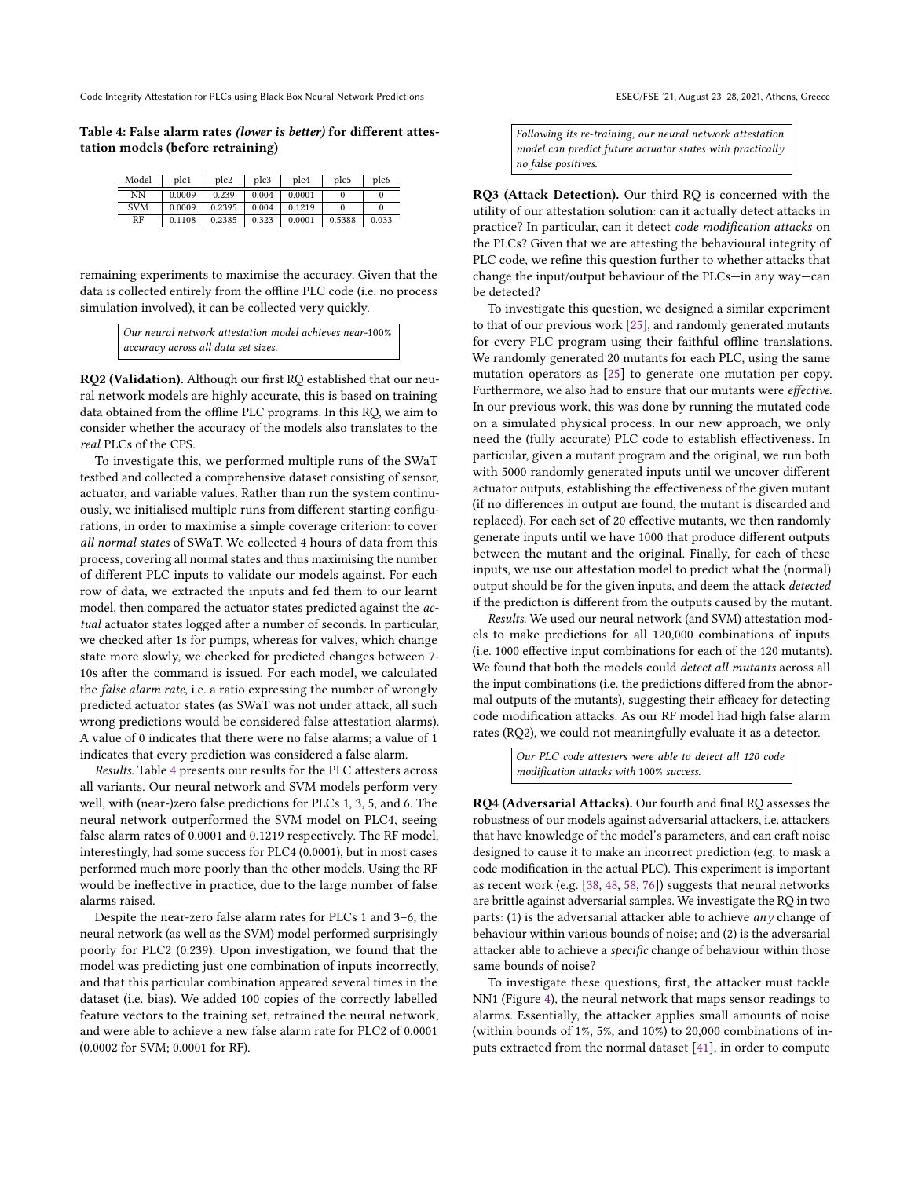<span id="page-8-0"></span>Table 4: False alarm rates (lower is better) for different attestation models (before retraining)

| Model      | plc1   | plc2   | plc3  | plc4   | plc5   | plc6  |
|------------|--------|--------|-------|--------|--------|-------|
| NΝ         | 0.0009 | 0.239  | 0.004 | 0.0001 |        |       |
| <b>SVM</b> | 0.0009 | 0.2395 | 0.004 | 0.1219 |        |       |
| RF         | 0.1108 | 0.2385 | 0.323 | 0.0001 | 0.5388 | 0.033 |

remaining experiments to maximise the accuracy. Given that the data is collected entirely from the offline PLC code (i.e. no process simulation involved), it can be collected very quickly.

| Our neural network attestation model achieves near-100% |  |
|---------------------------------------------------------|--|
| accuracy across all data set sizes.                     |  |

RQ2 (Validation). Although our first RQ established that our neural network models are highly accurate, this is based on training data obtained from the offline PLC programs. In this RQ, we aim to consider whether the accuracy of the models also translates to the real PLCs of the CPS.

To investigate this, we performed multiple runs of the SWaT testbed and collected a comprehensive dataset consisting of sensor, actuator, and variable values. Rather than run the system continuously, we initialised multiple runs from different starting configurations, in order to maximise a simple coverage criterion: to cover all normal states of SWaT. We collected 4 hours of data from this process, covering all normal states and thus maximising the number of different PLC inputs to validate our models against. For each row of data, we extracted the inputs and fed them to our learnt model, then compared the actuator states predicted against the actual actuator states logged after a number of seconds. In particular, we checked after 1s for pumps, whereas for valves, which change state more slowly, we checked for predicted changes between 7- 10s after the command is issued. For each model, we calculated the false alarm rate, i.e. a ratio expressing the number of wrongly predicted actuator states (as SWaT was not under attack, all such wrong predictions would be considered false attestation alarms). A value of 0 indicates that there were no false alarms; a value of 1 indicates that every prediction was considered a false alarm.

Results. Table [4](#page-8-0) presents our results for the PLC attesters across all variants. Our neural network and SVM models perform very well, with (near-)zero false predictions for PLCs 1, 3, 5, and 6. The neural network outperformed the SVM model on PLC4, seeing false alarm rates of 0.0001 and 0.1219 respectively. The RF model, interestingly, had some success for PLC4 (0.0001), but in most cases performed much more poorly than the other models. Using the RF would be ineffective in practice, due to the large number of false alarms raised.

Despite the near-zero false alarm rates for PLCs 1 and 3–6, the neural network (as well as the SVM) model performed surprisingly poorly for PLC2 (0.239). Upon investigation, we found that the model was predicting just one combination of inputs incorrectly, and that this particular combination appeared several times in the dataset (i.e. bias). We added 100 copies of the correctly labelled feature vectors to the training set, retrained the neural network, and were able to achieve a new false alarm rate for PLC2 of 0.0001 (0.0002 for SVM; 0.0001 for RF).

Following its re-training, our neural network attestation model can predict future actuator states with practically no false positives.

RQ3 (Attack Detection). Our third RQ is concerned with the utility of our attestation solution: can it actually detect attacks in practice? In particular, can it detect code modification attacks on the PLCs? Given that we are attesting the behavioural integrity of PLC code, we refine this question further to whether attacks that change the input/output behaviour of the PLCs—in any way—can be detected?

To investigate this question, we designed a similar experiment to that of our previous work [\[25\]](#page-11-17), and randomly generated mutants for every PLC program using their faithful offline translations. We randomly generated 20 mutants for each PLC, using the same mutation operators as [\[25\]](#page-11-17) to generate one mutation per copy. Furthermore, we also had to ensure that our mutants were effective. In our previous work, this was done by running the mutated code on a simulated physical process. In our new approach, we only need the (fully accurate) PLC code to establish effectiveness. In particular, given a mutant program and the original, we run both with 5000 randomly generated inputs until we uncover different actuator outputs, establishing the effectiveness of the given mutant (if no differences in output are found, the mutant is discarded and replaced). For each set of 20 effective mutants, we then randomly generate inputs until we have 1000 that produce different outputs between the mutant and the original. Finally, for each of these inputs, we use our attestation model to predict what the (normal) output should be for the given inputs, and deem the attack detected if the prediction is different from the outputs caused by the mutant.

Results. We used our neural network (and SVM) attestation models to make predictions for all 120,000 combinations of inputs (i.e. 1000 effective input combinations for each of the 120 mutants). We found that both the models could detect all mutants across all the input combinations (i.e. the predictions differed from the abnormal outputs of the mutants), suggesting their efficacy for detecting code modification attacks. As our RF model had high false alarm rates (RQ2), we could not meaningfully evaluate it as a detector.

> Our PLC code attesters were able to detect all 120 code modification attacks with 100% success.

RQ4 (Adversarial Attacks). Our fourth and final RQ assesses the robustness of our models against adversarial attackers, i.e. attackers that have knowledge of the model's parameters, and can craft noise designed to cause it to make an incorrect prediction (e.g. to mask a code modification in the actual PLC). This experiment is important as recent work (e.g. [\[38,](#page-11-24) [48,](#page-12-23) [58,](#page-12-24) [76\]](#page-12-25)) suggests that neural networks are brittle against adversarial samples. We investigate the RQ in two parts: (1) is the adversarial attacker able to achieve any change of behaviour within various bounds of noise; and (2) is the adversarial attacker able to achieve a specific change of behaviour within those same bounds of noise?

To investigate these questions, first, the attacker must tackle NN1 (Figure [4\)](#page-6-0), the neural network that maps sensor readings to alarms. Essentially, the attacker applies small amounts of noise (within bounds of 1%, 5%, and 10%) to 20,000 combinations of inputs extracted from the normal dataset [\[41\]](#page-11-26), in order to compute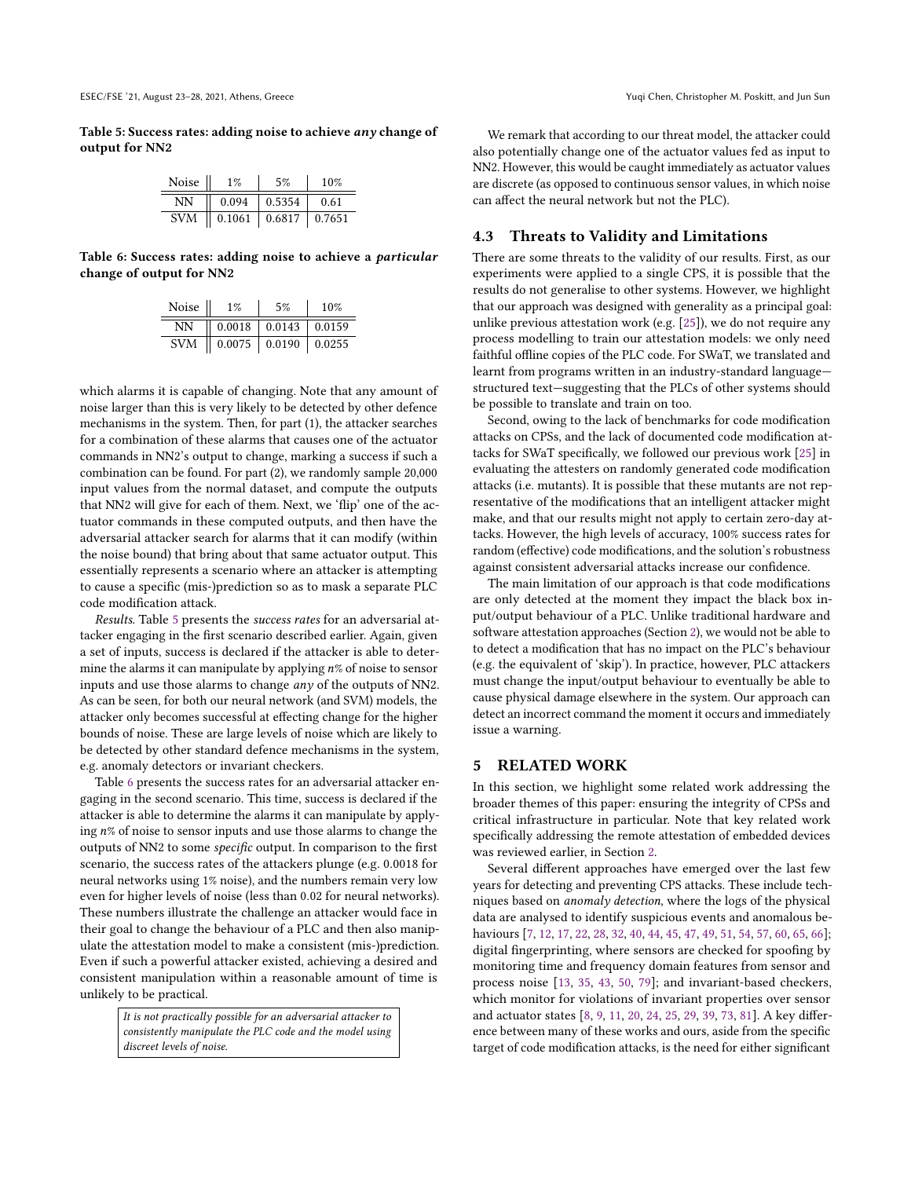<span id="page-9-1"></span>Table 5: Success rates: adding noise to achieve any change of output for NN2

| Noise      | $1\%$  | 5%     | 10%    |
|------------|--------|--------|--------|
| NΝ         | 0.094  | 0.5354 | 0.61   |
| <b>SVM</b> | 0.1061 | 0.6817 | 0.7651 |

<span id="page-9-2"></span>Table 6: Success rates: adding noise to achieve a particular change of output for NN2

| Noise      | $1\%$             | 5%                         | 10%    |
|------------|-------------------|----------------------------|--------|
| NΝ         |                   | $0.0018$   0.0143   0.0159 |        |
| <b>SVM</b> | $0.0075$   0.0190 |                            | 0.0255 |

which alarms it is capable of changing. Note that any amount of noise larger than this is very likely to be detected by other defence mechanisms in the system. Then, for part (1), the attacker searches for a combination of these alarms that causes one of the actuator commands in NN2's output to change, marking a success if such a combination can be found. For part (2), we randomly sample 20,000 input values from the normal dataset, and compute the outputs that NN2 will give for each of them. Next, we 'flip' one of the actuator commands in these computed outputs, and then have the adversarial attacker search for alarms that it can modify (within the noise bound) that bring about that same actuator output. This essentially represents a scenario where an attacker is attempting to cause a specific (mis-)prediction so as to mask a separate PLC code modification attack.

Results. Table [5](#page-9-1) presents the success rates for an adversarial attacker engaging in the first scenario described earlier. Again, given a set of inputs, success is declared if the attacker is able to determine the alarms it can manipulate by applying  $n$ % of noise to sensor inputs and use those alarms to change any of the outputs of NN2. As can be seen, for both our neural network (and SVM) models, the attacker only becomes successful at effecting change for the higher bounds of noise. These are large levels of noise which are likely to be detected by other standard defence mechanisms in the system, e.g. anomaly detectors or invariant checkers.

Table [6](#page-9-2) presents the success rates for an adversarial attacker engaging in the second scenario. This time, success is declared if the attacker is able to determine the alarms it can manipulate by applying  $n$ % of noise to sensor inputs and use those alarms to change the outputs of NN2 to some specific output. In comparison to the first scenario, the success rates of the attackers plunge (e.g. 0.0018 for neural networks using 1% noise), and the numbers remain very low even for higher levels of noise (less than 0.02 for neural networks). These numbers illustrate the challenge an attacker would face in their goal to change the behaviour of a PLC and then also manipulate the attestation model to make a consistent (mis-)prediction. Even if such a powerful attacker existed, achieving a desired and consistent manipulation within a reasonable amount of time is unlikely to be practical.

> It is not practically possible for an adversarial attacker to consistently manipulate the PLC code and the model using discreet levels of noise.

We remark that according to our threat model, the attacker could also potentially change one of the actuator values fed as input to NN2. However, this would be caught immediately as actuator values are discrete (as opposed to continuous sensor values, in which noise can affect the neural network but not the PLC).

# 4.3 Threats to Validity and Limitations

There are some threats to the validity of our results. First, as our experiments were applied to a single CPS, it is possible that the results do not generalise to other systems. However, we highlight that our approach was designed with generality as a principal goal: unlike previous attestation work (e.g. [\[25\]](#page-11-17)), we do not require any process modelling to train our attestation models: we only need faithful offline copies of the PLC code. For SWaT, we translated and learnt from programs written in an industry-standard language structured text—suggesting that the PLCs of other systems should be possible to translate and train on too.

Second, owing to the lack of benchmarks for code modification attacks on CPSs, and the lack of documented code modification attacks for SWaT specifically, we followed our previous work [\[25\]](#page-11-17) in evaluating the attesters on randomly generated code modification attacks (i.e. mutants). It is possible that these mutants are not representative of the modifications that an intelligent attacker might make, and that our results might not apply to certain zero-day attacks. However, the high levels of accuracy, 100% success rates for random (effective) code modifications, and the solution's robustness against consistent adversarial attacks increase our confidence.

The main limitation of our approach is that code modifications are only detected at the moment they impact the black box input/output behaviour of a PLC. Unlike traditional hardware and software attestation approaches (Section [2\)](#page-1-0), we would not be able to to detect a modification that has no impact on the PLC's behaviour (e.g. the equivalent of 'skip'). In practice, however, PLC attackers must change the input/output behaviour to eventually be able to cause physical damage elsewhere in the system. Our approach can detect an incorrect command the moment it occurs and immediately issue a warning.

# <span id="page-9-0"></span>5 RELATED WORK

In this section, we highlight some related work addressing the broader themes of this paper: ensuring the integrity of CPSs and critical infrastructure in particular. Note that key related work specifically addressing the remote attestation of embedded devices was reviewed earlier, in Section [2.](#page-1-0)

Several different approaches have emerged over the last few years for detecting and preventing CPS attacks. These include techniques based on anomaly detection, where the logs of the physical data are analysed to identify suspicious events and anomalous behaviours [\[7,](#page-11-0) [12,](#page-11-1) [17,](#page-11-2) [22,](#page-11-3) [28,](#page-11-4) [32,](#page-11-5) [40,](#page-11-7) [44,](#page-11-8) [45,](#page-12-1) [47,](#page-12-2) [49,](#page-12-3) [51,](#page-12-4) [54,](#page-12-5) [57,](#page-12-6) [60,](#page-12-7) [65,](#page-12-8) [66\]](#page-12-9); digital fingerprinting, where sensors are checked for spoofing by monitoring time and frequency domain features from sensor and process noise [\[13,](#page-11-9) [35,](#page-11-10) [43,](#page-11-11) [50,](#page-12-10) [79\]](#page-12-11); and invariant-based checkers, which monitor for violations of invariant properties over sensor and actuator states [\[8,](#page-11-12) [9,](#page-11-13) [11,](#page-11-14) [20,](#page-11-15) [24,](#page-11-16) [25,](#page-11-17) [29,](#page-11-18) [39,](#page-11-6) [73,](#page-12-12) [81\]](#page-12-13). A key difference between many of these works and ours, aside from the specific target of code modification attacks, is the need for either significant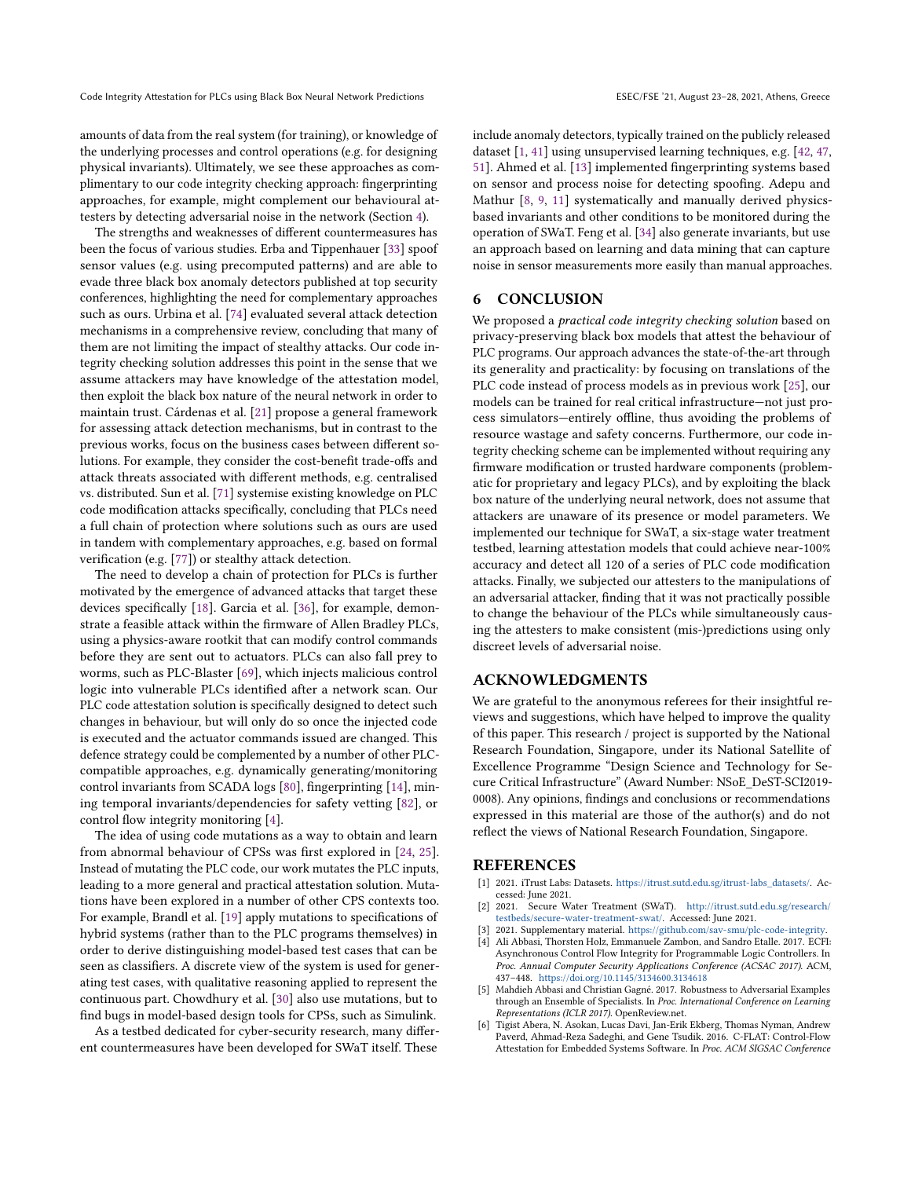amounts of data from the real system (for training), or knowledge of the underlying processes and control operations (e.g. for designing physical invariants). Ultimately, we see these approaches as complimentary to our code integrity checking approach: fingerprinting approaches, for example, might complement our behavioural attesters by detecting adversarial noise in the network (Section [4\)](#page-7-0).

The strengths and weaknesses of different countermeasures has been the focus of various studies. Erba and Tippenhauer [\[33\]](#page-11-29) spoof sensor values (e.g. using precomputed patterns) and are able to evade three black box anomaly detectors published at top security conferences, highlighting the need for complementary approaches such as ours. Urbina et al. [\[74\]](#page-12-33) evaluated several attack detection mechanisms in a comprehensive review, concluding that many of them are not limiting the impact of stealthy attacks. Our code integrity checking solution addresses this point in the sense that we assume attackers may have knowledge of the attestation model, then exploit the black box nature of the neural network in order to maintain trust. Cárdenas et al. [\[21\]](#page-11-30) propose a general framework for assessing attack detection mechanisms, but in contrast to the previous works, focus on the business cases between different solutions. For example, they consider the cost-benefit trade-offs and attack threats associated with different methods, e.g. centralised vs. distributed. Sun et al. [\[71\]](#page-12-34) systemise existing knowledge on PLC code modification attacks specifically, concluding that PLCs need a full chain of protection where solutions such as ours are used in tandem with complementary approaches, e.g. based on formal verification (e.g. [\[77\]](#page-12-35)) or stealthy attack detection.

The need to develop a chain of protection for PLCs is further motivated by the emergence of advanced attacks that target these devices specifically [\[18\]](#page-11-31). Garcia et al. [\[36\]](#page-11-32), for example, demonstrate a feasible attack within the firmware of Allen Bradley PLCs, using a physics-aware rootkit that can modify control commands before they are sent out to actuators. PLCs can also fall prey to worms, such as PLC-Blaster [\[69\]](#page-12-36), which injects malicious control logic into vulnerable PLCs identified after a network scan. Our PLC code attestation solution is specifically designed to detect such changes in behaviour, but will only do so once the injected code is executed and the actuator commands issued are changed. This defence strategy could be complemented by a number of other PLCcompatible approaches, e.g. dynamically generating/monitoring control invariants from SCADA logs [\[80\]](#page-12-37), fingerprinting [\[14\]](#page-11-33), mining temporal invariants/dependencies for safety vetting [\[82\]](#page-12-38), or control flow integrity monitoring [\[4\]](#page-10-6).

The idea of using code mutations as a way to obtain and learn from abnormal behaviour of CPSs was first explored in [\[24,](#page-11-16) [25\]](#page-11-17). Instead of mutating the PLC code, our work mutates the PLC inputs, leading to a more general and practical attestation solution. Mutations have been explored in a number of other CPS contexts too. For example, Brandl et al. [\[19\]](#page-11-34) apply mutations to specifications of hybrid systems (rather than to the PLC programs themselves) in order to derive distinguishing model-based test cases that can be seen as classifiers. A discrete view of the system is used for generating test cases, with qualitative reasoning applied to represent the continuous part. Chowdhury et al. [\[30\]](#page-11-35) also use mutations, but to find bugs in model-based design tools for CPSs, such as Simulink.

As a testbed dedicated for cyber-security research, many different countermeasures have been developed for SWaT itself. These

include anomaly detectors, typically trained on the publicly released dataset [\[1,](#page-10-4) [41\]](#page-11-26) using unsupervised learning techniques, e.g. [\[42,](#page-11-36) [47,](#page-12-2) [51\]](#page-12-4). Ahmed et al. [\[13\]](#page-11-9) implemented fingerprinting systems based on sensor and process noise for detecting spoofing. Adepu and Mathur [\[8,](#page-11-12) [9,](#page-11-13) [11\]](#page-11-14) systematically and manually derived physicsbased invariants and other conditions to be monitored during the operation of SWaT. Feng et al. [\[34\]](#page-11-37) also generate invariants, but use an approach based on learning and data mining that can capture noise in sensor measurements more easily than manual approaches.

# <span id="page-10-3"></span>6 CONCLUSION

We proposed a practical code integrity checking solution based on privacy-preserving black box models that attest the behaviour of PLC programs. Our approach advances the state-of-the-art through its generality and practicality: by focusing on translations of the PLC code instead of process models as in previous work [\[25\]](#page-11-17), our models can be trained for real critical infrastructure—not just process simulators—entirely offline, thus avoiding the problems of resource wastage and safety concerns. Furthermore, our code integrity checking scheme can be implemented without requiring any firmware modification or trusted hardware components (problematic for proprietary and legacy PLCs), and by exploiting the black box nature of the underlying neural network, does not assume that attackers are unaware of its presence or model parameters. We implemented our technique for SWaT, a six-stage water treatment testbed, learning attestation models that could achieve near-100% accuracy and detect all 120 of a series of PLC code modification attacks. Finally, we subjected our attesters to the manipulations of an adversarial attacker, finding that it was not practically possible to change the behaviour of the PLCs while simultaneously causing the attesters to make consistent (mis-)predictions using only discreet levels of adversarial noise.

# ACKNOWLEDGMENTS

We are grateful to the anonymous referees for their insightful reviews and suggestions, which have helped to improve the quality of this paper. This research / project is supported by the National Research Foundation, Singapore, under its National Satellite of Excellence Programme "Design Science and Technology for Secure Critical Infrastructure" (Award Number: NSoE\_DeST-SCI2019- 0008). Any opinions, findings and conclusions or recommendations expressed in this material are those of the author(s) and do not reflect the views of National Research Foundation, Singapore.

### REFERENCES

- <span id="page-10-4"></span>[1] 2021. iTrust Labs: Datasets. [https://itrust.sutd.edu.sg/itrust-labs\\_datasets/.](https://itrust.sutd.edu.sg/itrust-labs_datasets/) Accessed: June 2021.
- <span id="page-10-2"></span>[2] 2021. Secure Water Treatment (SWaT). [http://itrust.sutd.edu.sg/research/](http://itrust.sutd.edu.sg/research/testbeds/secure-water-treatment-swat/) [testbeds/secure-water-treatment-swat/.](http://itrust.sutd.edu.sg/research/testbeds/secure-water-treatment-swat/) Accessed: June 2021.
- <span id="page-10-6"></span><span id="page-10-5"></span>[3] 2021. Supplementary material. [https://github.com/sav-smu/plc-code-integrity.](https://github.com/sav-smu/plc-code-integrity) Ali Abbasi, Thorsten Holz, Emmanuele Zambon, and Sandro Etalle. 2017. ECFI: Asynchronous Control Flow Integrity for Programmable Logic Controllers. In
- Proc. Annual Computer Security Applications Conference (ACSAC 2017). ACM, 437–448. <https://doi.org/10.1145/3134600.3134618> [5] Mahdieh Abbasi and Christian Gagné. 2017. Robustness to Adversarial Examples
- <span id="page-10-1"></span>through an Ensemble of Specialists. In Proc. International Conference on Learning Representations (ICLR 2017). OpenReview.net.
- <span id="page-10-0"></span>[6] Tigist Abera, N. Asokan, Lucas Davi, Jan-Erik Ekberg, Thomas Nyman, Andrew Paverd, Ahmad-Reza Sadeghi, and Gene Tsudik. 2016. C-FLAT: Control-Flow Attestation for Embedded Systems Software. In Proc. ACM SIGSAC Conference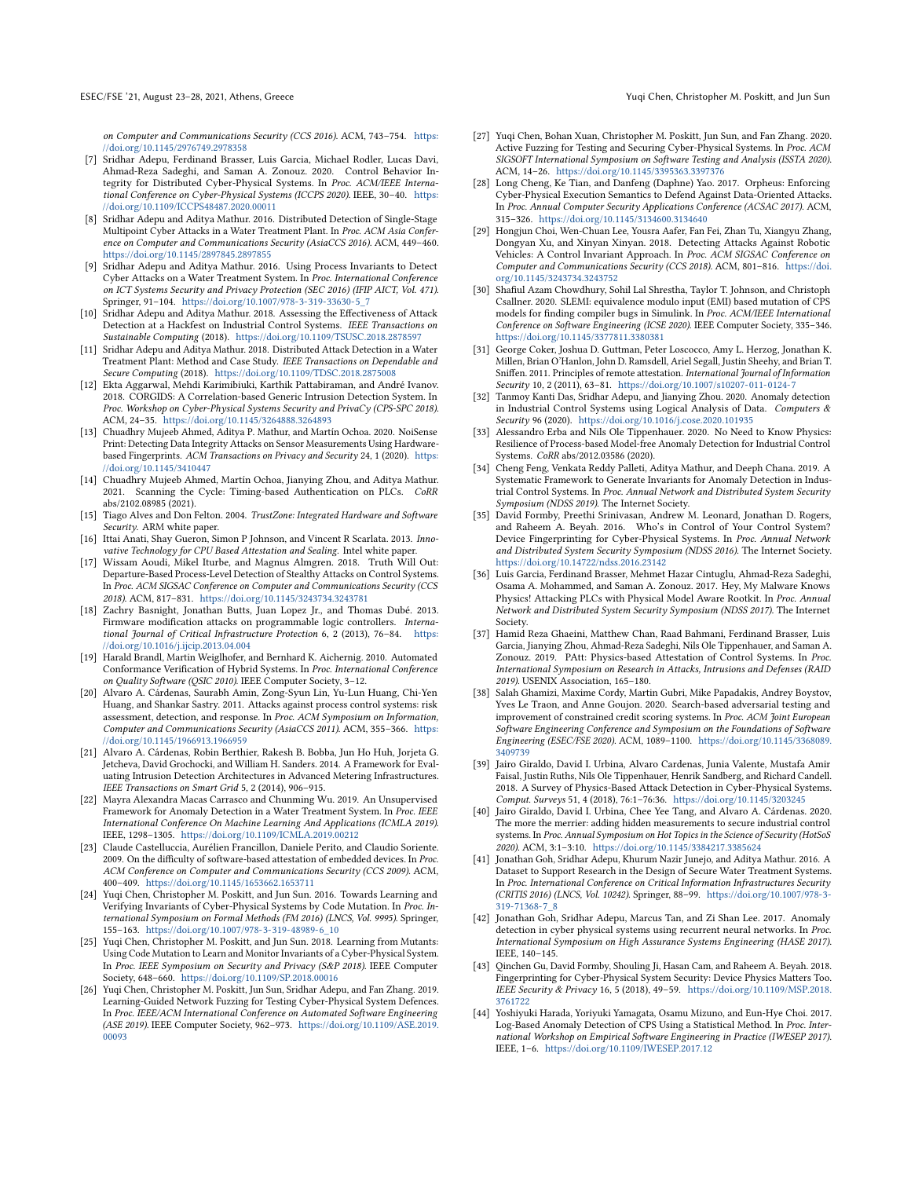on Computer and Communications Security (CCS 2016). ACM, 743–754. [https:](https://doi.org/10.1145/2976749.2978358) [//doi.org/10.1145/2976749.2978358](https://doi.org/10.1145/2976749.2978358)

- <span id="page-11-0"></span>[7] Sridhar Adepu, Ferdinand Brasser, Luis Garcia, Michael Rodler, Lucas Davi, Ahmad-Reza Sadeghi, and Saman A. Zonouz. 2020. Control Behavior Integrity for Distributed Cyber-Physical Systems. In Proc. ACM/IEEE International Conference on Cyber-Physical Systems (ICCPS 2020). IEEE, 30–40. [https:](https://doi.org/10.1109/ICCPS48487.2020.00011) [//doi.org/10.1109/ICCPS48487.2020.00011](https://doi.org/10.1109/ICCPS48487.2020.00011)
- <span id="page-11-12"></span>[8] Sridhar Adepu and Aditya Mathur. 2016. Distributed Detection of Single-Stage Multipoint Cyber Attacks in a Water Treatment Plant. In Proc. ACM Asia Conference on Computer and Communications Security (AsiaCCS 2016). ACM, 449–460. <https://doi.org/10.1145/2897845.2897855>
- <span id="page-11-13"></span>[9] Sridhar Adepu and Aditya Mathur. 2016. Using Process Invariants to Detect Cyber Attacks on a Water Treatment System. In Proc. International Conference on ICT Systems Security and Privacy Protection (SEC 2016) (IFIP AICT, Vol. 471). Springer, 91–104. [https://doi.org/10.1007/978-3-319-33630-5\\_7](https://doi.org/10.1007/978-3-319-33630-5_7)
- <span id="page-11-25"></span>[10] Sridhar Adepu and Aditya Mathur. 2018. Assessing the Effectiveness of Attack Detection at a Hackfest on Industrial Control Systems. IEEE Transactions on Sustainable Computing (2018). <https://doi.org/10.1109/TSUSC.2018.2878597>
- <span id="page-11-14"></span>[11] Sridhar Adepu and Aditya Mathur. 2018. Distributed Attack Detection in a Water Treatment Plant: Method and Case Study. IEEE Transactions on Dependable and Secure Computing (2018). <https://doi.org/10.1109/TDSC.2018.2875008>
- <span id="page-11-1"></span>[12] Ekta Aggarwal, Mehdi Karimibiuki, Karthik Pattabiraman, and André Ivanov. 2018. CORGIDS: A Correlation-based Generic Intrusion Detection System. In Proc. Workshop on Cyber-Physical Systems Security and PrivaCy (CPS-SPC 2018). ACM, 24–35. <https://doi.org/10.1145/3264888.3264893>
- <span id="page-11-9"></span>[13] Chuadhry Mujeeb Ahmed, Aditya P. Mathur, and Martín Ochoa. 2020. NoiSense Print: Detecting Data Integrity Attacks on Sensor Measurements Using Hardwarebased Fingerprints. ACM Transactions on Privacy and Security 24, 1 (2020). [https:](https://doi.org/10.1145/3410447) [//doi.org/10.1145/3410447](https://doi.org/10.1145/3410447)
- <span id="page-11-33"></span>[14] Chuadhry Mujeeb Ahmed, Martín Ochoa, Jianying Zhou, and Aditya Mathur. 2021. Scanning the Cycle: Timing-based Authentication on PLCs. CoRR abs/2102.08985 (2021).
- <span id="page-11-22"></span>[15] Tiago Alves and Don Felton. 2004. TrustZone: Integrated Hardware and Software Security. ARM white paper.
- <span id="page-11-23"></span>[16] Ittai Anati, Shay Gueron, Simon P Johnson, and Vincent R Scarlata. 2013. Innovative Technology for CPU Based Attestation and Sealing. Intel white paper. [17] Wissam Aoudi, Mikel Iturbe, and Magnus Almgren. 2018. Truth Will Out:
- <span id="page-11-2"></span>Departure-Based Process-Level Detection of Stealthy Attacks on Control Systems. In Proc. ACM SIGSAC Conference on Computer and Communications Security (CCS 2018). ACM, 817–831. <https://doi.org/10.1145/3243734.3243781>
- <span id="page-11-31"></span>[18] Zachry Basnight, Jonathan Butts, Juan Lopez Jr., and Thomas Dubé. 2013. Firmware modification attacks on programmable logic controllers. International Journal of Critical Infrastructure Protection 6, 2 (2013), 76-84. [https:](https://doi.org/10.1016/j.ijcip.2013.04.004) [//doi.org/10.1016/j.ijcip.2013.04.004](https://doi.org/10.1016/j.ijcip.2013.04.004)
- <span id="page-11-34"></span>[19] Harald Brandl, Martin Weiglhofer, and Bernhard K. Aichernig. 2010. Automated Conformance Verification of Hybrid Systems. In Proc. International Conference on Quality Software (QSIC 2010). IEEE Computer Society, 3–12.
- <span id="page-11-15"></span>[20] Alvaro A. Cárdenas, Saurabh Amin, Zong-Syun Lin, Yu-Lun Huang, Chi-Yen Huang, and Shankar Sastry. 2011. Attacks against process control systems: risk assessment, detection, and response. In Proc. ACM Symposium on Information, Computer and Communications Security (AsiaCCS 2011). ACM, 355–366. [https:](https://doi.org/10.1145/1966913.1966959) [//doi.org/10.1145/1966913.1966959](https://doi.org/10.1145/1966913.1966959)
- <span id="page-11-30"></span>[21] Alvaro A. Cárdenas, Robin Berthier, Rakesh B. Bobba, Jun Ho Huh, Jorjeta G. Jetcheva, David Grochocki, and William H. Sanders. 2014. A Framework for Evaluating Intrusion Detection Architectures in Advanced Metering Infrastructures. IEEE Transactions on Smart Grid 5, 2 (2014), 906–915.
- <span id="page-11-3"></span>[22] Mayra Alexandra Macas Carrasco and Chunming Wu. 2019. An Unsupervised Framework for Anomaly Detection in a Water Treatment System. In Proc. IEEE International Conference On Machine Learning And Applications (ICMLA 2019). IEEE, 1298–1305. <https://doi.org/10.1109/ICMLA.2019.00212>
- <span id="page-11-21"></span>[23] Claude Castelluccia, Aurélien Francillon, Daniele Perito, and Claudio Soriente. 2009. On the difficulty of software-based attestation of embedded devices. In Proc. ACM Conference on Computer and Communications Security (CCS 2009). ACM, 400–409. <https://doi.org/10.1145/1653662.1653711>
- <span id="page-11-16"></span>[24] Yuqi Chen, Christopher M. Poskitt, and Jun Sun. 2016. Towards Learning and Verifying Invariants of Cyber-Physical Systems by Code Mutation. In Proc. International Symposium on Formal Methods (FM 2016) (LNCS, Vol. 9995). Springer, 155–163. [https://doi.org/10.1007/978-3-319-48989-6\\_10](https://doi.org/10.1007/978-3-319-48989-6_10)
- <span id="page-11-17"></span>[25] Yuqi Chen, Christopher M. Poskitt, and Jun Sun. 2018. Learning from Mutants: Using Code Mutation to Learn and Monitor Invariants of a Cyber-Physical System. In Proc. IEEE Symposium on Security and Privacy (S&P 2018). IEEE Computer Society, 648–660. <https://doi.org/10.1109/SP.2018.00016>
- <span id="page-11-19"></span>[26] Yuqi Chen, Christopher M. Poskitt, Jun Sun, Sridhar Adepu, and Fan Zhang. 2019. Learning-Guided Network Fuzzing for Testing Cyber-Physical System Defences. In Proc. IEEE/ACM International Conference on Automated Software Engineering (ASE 2019). IEEE Computer Society, 962–973. [https://doi.org/10.1109/ASE.2019.](https://doi.org/10.1109/ASE.2019.00093) [00093](https://doi.org/10.1109/ASE.2019.00093)
- <span id="page-11-20"></span>[27] Yuqi Chen, Bohan Xuan, Christopher M. Poskitt, Jun Sun, and Fan Zhang. 2020. Active Fuzzing for Testing and Securing Cyber-Physical Systems. In Proc. ACM SIGSOFT International Symposium on Software Testing and Analysis (ISSTA 2020). ACM, 14–26. <https://doi.org/10.1145/3395363.3397376>
- <span id="page-11-4"></span>[28] Long Cheng, Ke Tian, and Danfeng (Daphne) Yao. 2017. Orpheus: Enforcing Cyber-Physical Execution Semantics to Defend Against Data-Oriented Attacks. In Proc. Annual Computer Security Applications Conference (ACSAC 2017). ACM, 315–326. <https://doi.org/10.1145/3134600.3134640>
- <span id="page-11-18"></span>[29] Hongjun Choi, Wen-Chuan Lee, Yousra Aafer, Fan Fei, Zhan Tu, Xiangyu Zhang, Dongyan Xu, and Xinyan Xinyan. 2018. Detecting Attacks Against Robotic Vehicles: A Control Invariant Approach. In Proc. ACM SIGSAC Conference on Computer and Communications Security (CCS 2018). ACM, 801–816. [https://doi.](https://doi.org/10.1145/3243734.3243752) [org/10.1145/3243734.3243752](https://doi.org/10.1145/3243734.3243752)
- <span id="page-11-35"></span>[30] Shafiul Azam Chowdhury, Sohil Lal Shrestha, Taylor T. Johnson, and Christoph Csallner. 2020. SLEMI: equivalence modulo input (EMI) based mutation of CPS models for finding compiler bugs in Simulink. In Proc. ACM/IEEE International Conference on Software Engineering (ICSE 2020). IEEE Computer Society, 335–346. <https://doi.org/10.1145/3377811.3380381>
- <span id="page-11-27"></span>[31] George Coker, Joshua D. Guttman, Peter Loscocco, Amy L. Herzog, Jonathan K. Millen, Brian O'Hanlon, John D. Ramsdell, Ariel Segall, Justin Sheehy, and Brian T. Sniffen. 2011. Principles of remote attestation. International Journal of Information Security 10, 2 (2011), 63–81. <https://doi.org/10.1007/s10207-011-0124-7>
- <span id="page-11-5"></span>[32] Tanmoy Kanti Das, Sridhar Adepu, and Jianying Zhou. 2020. Anomaly detection in Industrial Control Systems using Logical Analysis of Data. Computers & Security 96 (2020). <https://doi.org/10.1016/j.cose.2020.101935>
- <span id="page-11-29"></span>[33] Alessandro Erba and Nils Ole Tippenhauer. 2020. No Need to Know Physics: Resilience of Process-based Model-free Anomaly Detection for Industrial Control Systems. CoRR abs/2012.03586 (2020).
- <span id="page-11-37"></span>[34] Cheng Feng, Venkata Reddy Palleti, Aditya Mathur, and Deeph Chana. 2019. A Systematic Framework to Generate Invariants for Anomaly Detection in Industrial Control Systems. In Proc. Annual Network and Distributed System Security Symposium (NDSS 2019). The Internet Society.
- <span id="page-11-10"></span>[35] David Formby, Preethi Srinivasan, Andrew M. Leonard, Jonathan D. Rogers, and Raheem A. Beyah. 2016. Who's in Control of Your Control System? Device Fingerprinting for Cyber-Physical Systems. In Proc. Annual Network and Distributed System Security Symposium (NDSS 2016). The Internet Society. <https://doi.org/10.14722/ndss.2016.23142>
- <span id="page-11-32"></span>[36] Luis Garcia, Ferdinand Brasser, Mehmet Hazar Cintuglu, Ahmad-Reza Sadeghi, Osama A. Mohammed, and Saman A. Zonouz. 2017. Hey, My Malware Knows Physics! Attacking PLCs with Physical Model Aware Rootkit. In Proc. Annual Network and Distributed System Security Symposium (NDSS 2017). The Internet **Society**
- <span id="page-11-28"></span>[37] Hamid Reza Ghaeini, Matthew Chan, Raad Bahmani, Ferdinand Brasser, Luis Garcia, Jianying Zhou, Ahmad-Reza Sadeghi, Nils Ole Tippenhauer, and Saman A. Zonouz. 2019. PAtt: Physics-based Attestation of Control Systems. In Proc. International Symposium on Research in Attacks, Intrusions and Defenses (RAID 2019). USENIX Association, 165–180.
- <span id="page-11-24"></span>[38] Salah Ghamizi, Maxime Cordy, Martin Gubri, Mike Papadakis, Andrey Boystov, Yves Le Traon, and Anne Goujon. 2020. Search-based adversarial testing and improvement of constrained credit scoring systems. In Proc. ACM Joint European Software Engineering Conference and Symposium on the Foundations of Software Engineering (ESEC/FSE 2020). ACM, 1089–1100. [https://doi.org/10.1145/3368089.](https://doi.org/10.1145/3368089.3409739) [3409739](https://doi.org/10.1145/3368089.3409739)
- <span id="page-11-6"></span>[39] Jairo Giraldo, David I. Urbina, Alvaro Cardenas, Junia Valente, Mustafa Amir Faisal, Justin Ruths, Nils Ole Tippenhauer, Henrik Sandberg, and Richard Candell. 2018. A Survey of Physics-Based Attack Detection in Cyber-Physical Systems. Comput. Surveys 51, 4 (2018), 76:1–76:36. <https://doi.org/10.1145/3203245>
- <span id="page-11-7"></span>[40] Jairo Giraldo, David I. Urbina, Chee Yee Tang, and Alvaro A. Cárdenas. 2020. The more the merrier: adding hidden measurements to secure industrial control systems. In Proc. Annual Symposium on Hot Topics in the Science of Security (HotSoS 2020). ACM, 3:1–3:10. <https://doi.org/10.1145/3384217.3385624>
- <span id="page-11-26"></span>[41] Jonathan Goh, Sridhar Adepu, Khurum Nazir Junejo, and Aditya Mathur. 2016. A Dataset to Support Research in the Design of Secure Water Treatment Systems. In Proc. International Conference on Critical Information Infrastructures Security (CRITIS 2016) (LNCS, Vol. 10242). Springer, 88–99. [https://doi.org/10.1007/978-3-](https://doi.org/10.1007/978-3-319-71368-7_8) [319-71368-7\\_8](https://doi.org/10.1007/978-3-319-71368-7_8)
- <span id="page-11-36"></span>[42] Jonathan Goh, Sridhar Adepu, Marcus Tan, and Zi Shan Lee. 2017. Anomaly detection in cyber physical systems using recurrent neural networks. In Proc. International Symposium on High Assurance Systems Engineering (HASE 2017). IEEE, 140–145.
- <span id="page-11-11"></span>[43] Qinchen Gu, David Formby, Shouling Ji, Hasan Cam, and Raheem A. Beyah. 2018. Fingerprinting for Cyber-Physical System Security: Device Physics Matters Too. IEEE Security & Privacy 16, 5 (2018), 49–59. [https://doi.org/10.1109/MSP.2018.](https://doi.org/10.1109/MSP.2018.3761722) [3761722](https://doi.org/10.1109/MSP.2018.3761722)
- <span id="page-11-8"></span>[44] Yoshiyuki Harada, Yoriyuki Yamagata, Osamu Mizuno, and Eun-Hye Choi. 2017. Log-Based Anomaly Detection of CPS Using a Statistical Method. In Proc. International Workshop on Empirical Software Engineering in Practice (IWESEP 2017). IEEE, 1–6. <https://doi.org/10.1109/IWESEP.2017.12>